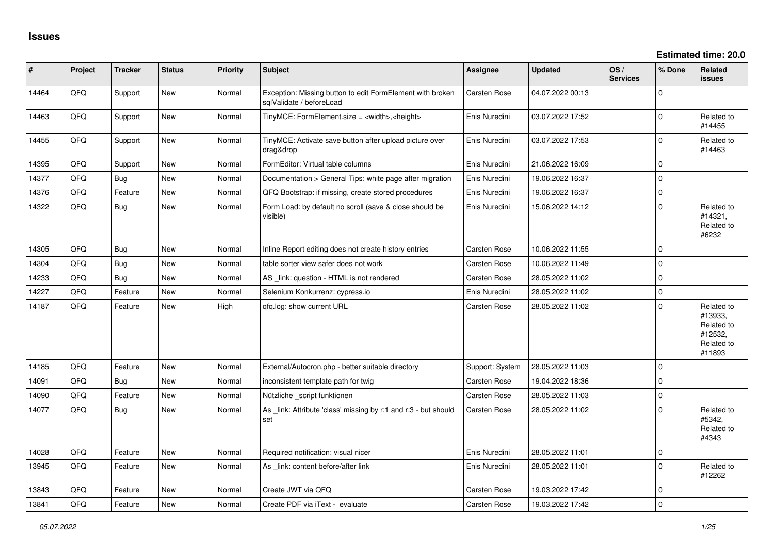| #     | Project | <b>Tracker</b> | <b>Status</b> | <b>Priority</b> | <b>Subject</b>                                                                        | Assignee            | <b>Updated</b>   | OS/<br><b>Services</b> | % Done      | Related<br><b>issues</b>                                               |
|-------|---------|----------------|---------------|-----------------|---------------------------------------------------------------------------------------|---------------------|------------------|------------------------|-------------|------------------------------------------------------------------------|
| 14464 | QFQ     | Support        | New           | Normal          | Exception: Missing button to edit FormElement with broken<br>sglValidate / beforeLoad | Carsten Rose        | 04.07.2022 00:13 |                        | $\Omega$    |                                                                        |
| 14463 | QFQ     | Support        | New           | Normal          | TinyMCE: FormElement.size = <width>,<height></height></width>                         | Enis Nuredini       | 03.07.2022 17:52 |                        | $\mathbf 0$ | Related to<br>#14455                                                   |
| 14455 | QFQ     | Support        | New           | Normal          | TinyMCE: Activate save button after upload picture over<br>drag&drop                  | Enis Nuredini       | 03.07.2022 17:53 |                        | $\Omega$    | Related to<br>#14463                                                   |
| 14395 | QFQ     | Support        | <b>New</b>    | Normal          | FormEditor: Virtual table columns                                                     | Enis Nuredini       | 21.06.2022 16:09 |                        | $\mathbf 0$ |                                                                        |
| 14377 | QFQ     | Bug            | New           | Normal          | Documentation > General Tips: white page after migration                              | Enis Nuredini       | 19.06.2022 16:37 |                        | $\mathbf 0$ |                                                                        |
| 14376 | QFQ     | Feature        | <b>New</b>    | Normal          | QFQ Bootstrap: if missing, create stored procedures                                   | Enis Nuredini       | 19.06.2022 16:37 |                        | $\mathbf 0$ |                                                                        |
| 14322 | QFQ     | Bug            | New           | Normal          | Form Load: by default no scroll (save & close should be<br>visible)                   | Enis Nuredini       | 15.06.2022 14:12 |                        | $\mathbf 0$ | Related to<br>#14321,<br>Related to<br>#6232                           |
| 14305 | QFQ     | Bug            | <b>New</b>    | Normal          | Inline Report editing does not create history entries                                 | Carsten Rose        | 10.06.2022 11:55 |                        | $\mathbf 0$ |                                                                        |
| 14304 | QFQ     | <b>Bug</b>     | New           | Normal          | table sorter view safer does not work                                                 | Carsten Rose        | 10.06.2022 11:49 |                        | $\mathbf 0$ |                                                                        |
| 14233 | QFQ     | <b>Bug</b>     | New           | Normal          | AS _link: question - HTML is not rendered                                             | Carsten Rose        | 28.05.2022 11:02 |                        | $\mathsf 0$ |                                                                        |
| 14227 | QFQ     | Feature        | New           | Normal          | Selenium Konkurrenz: cypress.io                                                       | Enis Nuredini       | 28.05.2022 11:02 |                        | $\mathbf 0$ |                                                                        |
| 14187 | QFQ     | Feature        | <b>New</b>    | High            | qfq.log: show current URL                                                             | Carsten Rose        | 28.05.2022 11:02 |                        | $\Omega$    | Related to<br>#13933,<br>Related to<br>#12532,<br>Related to<br>#11893 |
| 14185 | QFQ     | Feature        | New           | Normal          | External/Autocron.php - better suitable directory                                     | Support: System     | 28.05.2022 11:03 |                        | $\mathbf 0$ |                                                                        |
| 14091 | QFQ     | Bug            | <b>New</b>    | Normal          | inconsistent template path for twig                                                   | <b>Carsten Rose</b> | 19.04.2022 18:36 |                        | $\mathbf 0$ |                                                                        |
| 14090 | QFQ     | Feature        | New           | Normal          | Nützliche _script funktionen                                                          | <b>Carsten Rose</b> | 28.05.2022 11:03 |                        | $\mathbf 0$ |                                                                        |
| 14077 | QFQ     | Bug            | New           | Normal          | As link: Attribute 'class' missing by r:1 and r:3 - but should<br>set                 | Carsten Rose        | 28.05.2022 11:02 |                        | $\Omega$    | Related to<br>#5342,<br>Related to<br>#4343                            |
| 14028 | QFQ     | Feature        | New           | Normal          | Required notification: visual nicer                                                   | Enis Nuredini       | 28.05.2022 11:01 |                        | $\pmb{0}$   |                                                                        |
| 13945 | QFQ     | Feature        | <b>New</b>    | Normal          | As _link: content before/after link                                                   | Enis Nuredini       | 28.05.2022 11:01 |                        | $\mathbf 0$ | Related to<br>#12262                                                   |
| 13843 | QFQ     | Feature        | New           | Normal          | Create JWT via QFQ                                                                    | <b>Carsten Rose</b> | 19.03.2022 17:42 |                        | $\mathbf 0$ |                                                                        |
| 13841 | QFQ     | Feature        | New           | Normal          | Create PDF via iText - evaluate                                                       | <b>Carsten Rose</b> | 19.03.2022 17:42 |                        | $\mathbf 0$ |                                                                        |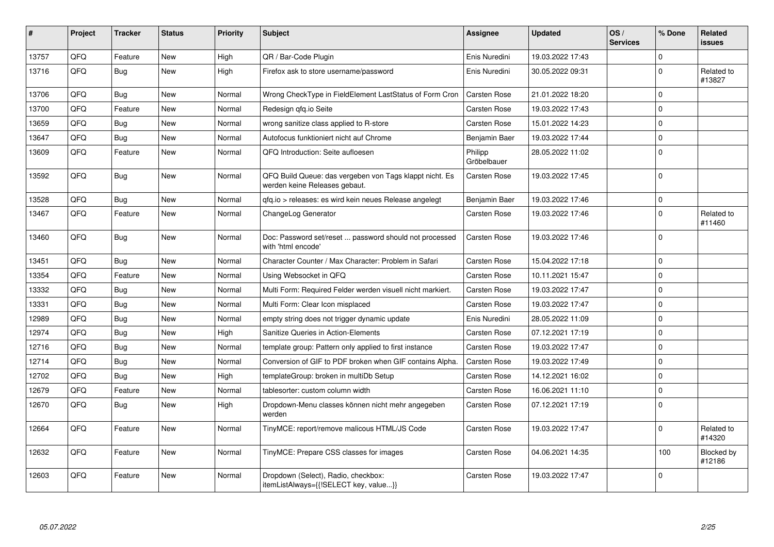| ∦     | Project | <b>Tracker</b> | <b>Status</b> | <b>Priority</b> | <b>Subject</b>                                                                           | <b>Assignee</b>        | <b>Updated</b>   | OS/<br><b>Services</b> | % Done      | Related<br>issues    |
|-------|---------|----------------|---------------|-----------------|------------------------------------------------------------------------------------------|------------------------|------------------|------------------------|-------------|----------------------|
| 13757 | QFQ     | Feature        | <b>New</b>    | High            | QR / Bar-Code Plugin                                                                     | Enis Nuredini          | 19.03.2022 17:43 |                        | $\mathbf 0$ |                      |
| 13716 | QFQ     | <b>Bug</b>     | <b>New</b>    | High            | Firefox ask to store username/password                                                   | Enis Nuredini          | 30.05.2022 09:31 |                        | $\mathbf 0$ | Related to<br>#13827 |
| 13706 | QFQ     | Bug            | <b>New</b>    | Normal          | Wrong CheckType in FieldElement LastStatus of Form Cron                                  | Carsten Rose           | 21.01.2022 18:20 |                        | $\Omega$    |                      |
| 13700 | QFQ     | Feature        | New           | Normal          | Redesign gfg.io Seite                                                                    | Carsten Rose           | 19.03.2022 17:43 |                        | $\mathbf 0$ |                      |
| 13659 | QFQ     | Bug            | <b>New</b>    | Normal          | wrong sanitize class applied to R-store                                                  | Carsten Rose           | 15.01.2022 14:23 |                        | $\Omega$    |                      |
| 13647 | QFQ     | Bug            | <b>New</b>    | Normal          | Autofocus funktioniert nicht auf Chrome                                                  | Benjamin Baer          | 19.03.2022 17:44 |                        | 0           |                      |
| 13609 | QFQ     | Feature        | <b>New</b>    | Normal          | QFQ Introduction: Seite aufloesen                                                        | Philipp<br>Gröbelbauer | 28.05.2022 11:02 |                        | $\Omega$    |                      |
| 13592 | QFQ     | Bug            | <b>New</b>    | Normal          | QFQ Build Queue: das vergeben von Tags klappt nicht. Es<br>werden keine Releases gebaut. | Carsten Rose           | 19.03.2022 17:45 |                        | $\Omega$    |                      |
| 13528 | QFQ     | <b>Bug</b>     | <b>New</b>    | Normal          | qfq.io > releases: es wird kein neues Release angelegt                                   | Benjamin Baer          | 19.03.2022 17:46 |                        | $\Omega$    |                      |
| 13467 | QFQ     | Feature        | <b>New</b>    | Normal          | ChangeLog Generator                                                                      | Carsten Rose           | 19.03.2022 17:46 |                        | $\Omega$    | Related to<br>#11460 |
| 13460 | QFQ     | <b>Bug</b>     | <b>New</b>    | Normal          | Doc: Password set/reset  password should not processed<br>with 'html encode'             | Carsten Rose           | 19.03.2022 17:46 |                        | $\Omega$    |                      |
| 13451 | QFQ     | Bug            | New           | Normal          | Character Counter / Max Character: Problem in Safari                                     | Carsten Rose           | 15.04.2022 17:18 |                        | $\Omega$    |                      |
| 13354 | QFQ     | Feature        | New           | Normal          | Using Websocket in QFQ                                                                   | Carsten Rose           | 10.11.2021 15:47 |                        | $\mathbf 0$ |                      |
| 13332 | QFQ     | Bug            | <b>New</b>    | Normal          | Multi Form: Required Felder werden visuell nicht markiert.                               | Carsten Rose           | 19.03.2022 17:47 |                        | $\Omega$    |                      |
| 13331 | QFQ     | <b>Bug</b>     | New           | Normal          | Multi Form: Clear Icon misplaced                                                         | Carsten Rose           | 19.03.2022 17:47 |                        | $\Omega$    |                      |
| 12989 | QFQ     | <b>Bug</b>     | New           | Normal          | empty string does not trigger dynamic update                                             | Enis Nuredini          | 28.05.2022 11:09 |                        | $\Omega$    |                      |
| 12974 | QFQ     | <b>Bug</b>     | New           | High            | <b>Sanitize Queries in Action-Elements</b>                                               | <b>Carsten Rose</b>    | 07.12.2021 17:19 |                        | $\Omega$    |                      |
| 12716 | QFQ     | Bug            | <b>New</b>    | Normal          | template group: Pattern only applied to first instance                                   | Carsten Rose           | 19.03.2022 17:47 |                        | $\Omega$    |                      |
| 12714 | QFQ     | Bug            | <b>New</b>    | Normal          | Conversion of GIF to PDF broken when GIF contains Alpha.                                 | <b>Carsten Rose</b>    | 19.03.2022 17:49 |                        | $\Omega$    |                      |
| 12702 | QFQ     | <b>Bug</b>     | <b>New</b>    | High            | templateGroup: broken in multiDb Setup                                                   | Carsten Rose           | 14.12.2021 16:02 |                        | $\Omega$    |                      |
| 12679 | QFQ     | Feature        | <b>New</b>    | Normal          | tablesorter: custom column width                                                         | Carsten Rose           | 16.06.2021 11:10 |                        | $\Omega$    |                      |
| 12670 | QFQ     | Bug            | New           | High            | Dropdown-Menu classes können nicht mehr angegeben<br>werden                              | Carsten Rose           | 07.12.2021 17:19 |                        | $\Omega$    |                      |
| 12664 | QFQ     | Feature        | <b>New</b>    | Normal          | TinyMCE: report/remove malicous HTML/JS Code                                             | Carsten Rose           | 19.03.2022 17:47 |                        | $\mathbf 0$ | Related to<br>#14320 |
| 12632 | QFQ     | Feature        | <b>New</b>    | Normal          | TinyMCE: Prepare CSS classes for images                                                  | Carsten Rose           | 04.06.2021 14:35 |                        | 100         | Blocked by<br>#12186 |
| 12603 | QFQ     | Feature        | <b>New</b>    | Normal          | Dropdown (Select), Radio, checkbox:<br>itemListAlways={{!SELECT key, value}}             | Carsten Rose           | 19.03.2022 17:47 |                        | $\Omega$    |                      |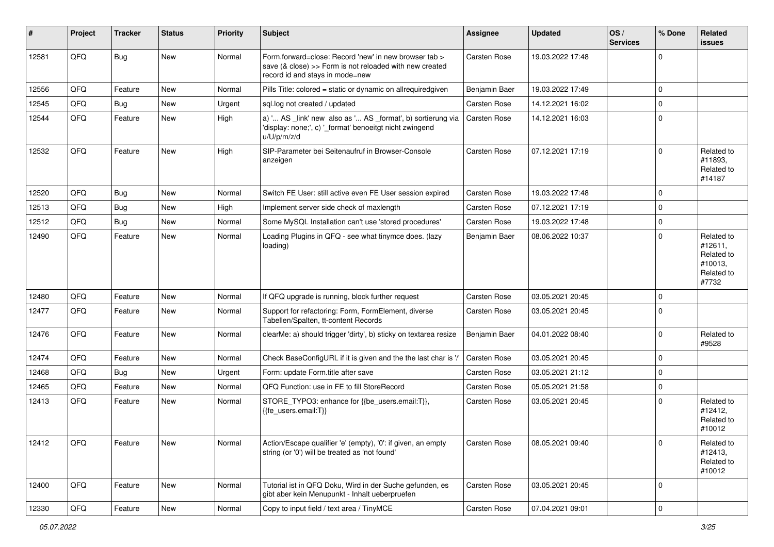| #     | Project | <b>Tracker</b> | <b>Status</b> | <b>Priority</b> | <b>Subject</b>                                                                                                                                      | <b>Assignee</b>     | <b>Updated</b>   | OS/<br><b>Services</b> | % Done      | Related<br>issues                                                     |
|-------|---------|----------------|---------------|-----------------|-----------------------------------------------------------------------------------------------------------------------------------------------------|---------------------|------------------|------------------------|-------------|-----------------------------------------------------------------------|
| 12581 | QFQ     | <b>Bug</b>     | New           | Normal          | Form.forward=close: Record 'new' in new browser tab ><br>save (& close) >> Form is not reloaded with new created<br>record id and stays in mode=new | Carsten Rose        | 19.03.2022 17:48 |                        | $\mathbf 0$ |                                                                       |
| 12556 | QFQ     | Feature        | <b>New</b>    | Normal          | Pills Title: colored = static or dynamic on allrequiredgiven                                                                                        | Benjamin Baer       | 19.03.2022 17:49 |                        | $\mathbf 0$ |                                                                       |
| 12545 | QFQ     | <b>Bug</b>     | New           | Urgent          | sql.log not created / updated                                                                                                                       | Carsten Rose        | 14.12.2021 16:02 |                        | $\pmb{0}$   |                                                                       |
| 12544 | QFQ     | Feature        | New           | High            | a) ' AS _link' new also as ' AS _format', b) sortierung via<br>'display: none;', c) '_format' benoeitgt nicht zwingend<br>u/U/p/m/z/d               | Carsten Rose        | 14.12.2021 16:03 |                        | $\mathbf 0$ |                                                                       |
| 12532 | QFQ     | Feature        | <b>New</b>    | High            | SIP-Parameter bei Seitenaufruf in Browser-Console<br>anzeigen                                                                                       | Carsten Rose        | 07.12.2021 17:19 |                        | $\mathbf 0$ | Related to<br>#11893.<br>Related to<br>#14187                         |
| 12520 | QFQ     | <b>Bug</b>     | <b>New</b>    | Normal          | Switch FE User: still active even FE User session expired                                                                                           | Carsten Rose        | 19.03.2022 17:48 |                        | $\mathbf 0$ |                                                                       |
| 12513 | QFQ     | <b>Bug</b>     | <b>New</b>    | High            | Implement server side check of maxlength                                                                                                            | Carsten Rose        | 07.12.2021 17:19 |                        | $\mathbf 0$ |                                                                       |
| 12512 | QFQ     | Bug            | <b>New</b>    | Normal          | Some MySQL Installation can't use 'stored procedures'                                                                                               | Carsten Rose        | 19.03.2022 17:48 |                        | $\mathbf 0$ |                                                                       |
| 12490 | QFQ     | Feature        | New           | Normal          | Loading Plugins in QFQ - see what tinymce does. (lazy<br>loading)                                                                                   | Benjamin Baer       | 08.06.2022 10:37 |                        | $\Omega$    | Related to<br>#12611,<br>Related to<br>#10013.<br>Related to<br>#7732 |
| 12480 | QFQ     | Feature        | New           | Normal          | If QFQ upgrade is running, block further request                                                                                                    | Carsten Rose        | 03.05.2021 20:45 |                        | $\mathbf 0$ |                                                                       |
| 12477 | QFQ     | Feature        | New           | Normal          | Support for refactoring: Form, FormElement, diverse<br>Tabellen/Spalten, tt-content Records                                                         | <b>Carsten Rose</b> | 03.05.2021 20:45 |                        | $\mathbf 0$ |                                                                       |
| 12476 | QFQ     | Feature        | <b>New</b>    | Normal          | clearMe: a) should trigger 'dirty', b) sticky on textarea resize                                                                                    | Benjamin Baer       | 04.01.2022 08:40 |                        | $\mathbf 0$ | Related to<br>#9528                                                   |
| 12474 | QFQ     | Feature        | <b>New</b>    | Normal          | Check BaseConfigURL if it is given and the the last char is '/'                                                                                     | Carsten Rose        | 03.05.2021 20:45 |                        | $\mathbf 0$ |                                                                       |
| 12468 | QFQ     | <b>Bug</b>     | New           | Urgent          | Form: update Form.title after save                                                                                                                  | Carsten Rose        | 03.05.2021 21:12 |                        | $\pmb{0}$   |                                                                       |
| 12465 | QFQ     | Feature        | <b>New</b>    | Normal          | QFQ Function: use in FE to fill StoreRecord                                                                                                         | Carsten Rose        | 05.05.2021 21:58 |                        | $\mathbf 0$ |                                                                       |
| 12413 | QFQ     | Feature        | New           | Normal          | STORE TYPO3: enhance for {{be users.email:T}},<br>{{fe users.email:T}}                                                                              | Carsten Rose        | 03.05.2021 20:45 |                        | $\mathbf 0$ | Related to<br>#12412,<br>Related to<br>#10012                         |
| 12412 | QFQ     | Feature        | New           | Normal          | Action/Escape qualifier 'e' (empty), '0': if given, an empty<br>string (or '0') will be treated as 'not found'                                      | Carsten Rose        | 08.05.2021 09:40 |                        | 0           | Related to<br>#12413,<br>Related to<br>#10012                         |
| 12400 | QFQ     | Feature        | New           | Normal          | Tutorial ist in QFQ Doku, Wird in der Suche gefunden, es<br>gibt aber kein Menupunkt - Inhalt ueberpruefen                                          | Carsten Rose        | 03.05.2021 20:45 |                        | $\mathbf 0$ |                                                                       |
| 12330 | QFG     | Feature        | New           | Normal          | Copy to input field / text area / TinyMCE                                                                                                           | Carsten Rose        | 07.04.2021 09:01 |                        | 0           |                                                                       |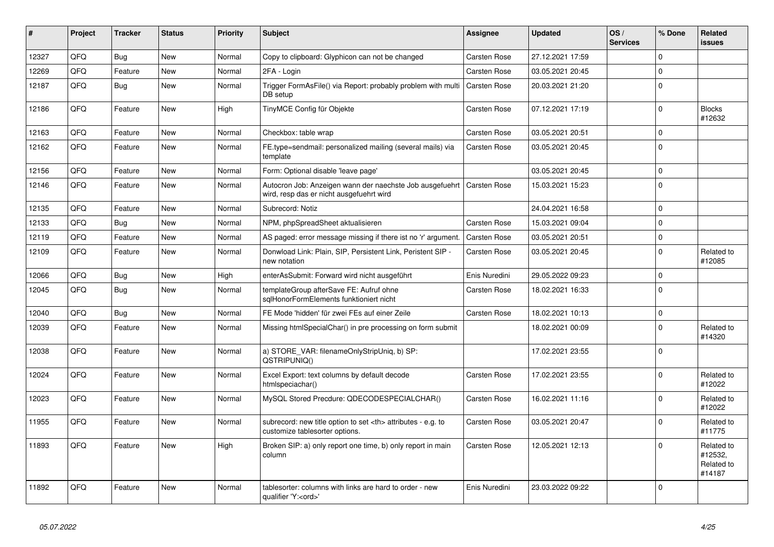| #     | Project | <b>Tracker</b> | <b>Status</b> | Priority | <b>Subject</b>                                                                                       | <b>Assignee</b>                                        | <b>Updated</b>   | OS/<br><b>Services</b> | % Done      | Related<br><b>issues</b>                      |                      |
|-------|---------|----------------|---------------|----------|------------------------------------------------------------------------------------------------------|--------------------------------------------------------|------------------|------------------------|-------------|-----------------------------------------------|----------------------|
| 12327 | QFQ     | Bug            | <b>New</b>    | Normal   | Copy to clipboard: Glyphicon can not be changed                                                      | Carsten Rose                                           | 27.12.2021 17:59 |                        | $\mathbf 0$ |                                               |                      |
| 12269 | QFQ     | Feature        | New           | Normal   | 2FA - Login                                                                                          | Carsten Rose                                           | 03.05.2021 20:45 |                        | $\Omega$    |                                               |                      |
| 12187 | QFQ     | <b>Bug</b>     | New           | Normal   | Trigger FormAsFile() via Report: probably problem with multi<br>DB setup                             | Carsten Rose                                           | 20.03.2021 21:20 |                        | $\Omega$    |                                               |                      |
| 12186 | QFQ     | Feature        | <b>New</b>    | High     | TinyMCE Config für Objekte                                                                           | Carsten Rose                                           | 07.12.2021 17:19 |                        | $\Omega$    | <b>Blocks</b><br>#12632                       |                      |
| 12163 | QFQ     | Feature        | <b>New</b>    | Normal   | Checkbox: table wrap                                                                                 | <b>Carsten Rose</b>                                    | 03.05.2021 20:51 |                        | $\mathbf 0$ |                                               |                      |
| 12162 | QFQ     | Feature        | <b>New</b>    | Normal   | FE.type=sendmail: personalized mailing (several mails) via<br>template                               | Carsten Rose                                           | 03.05.2021 20:45 |                        | $\Omega$    |                                               |                      |
| 12156 | QFQ     | Feature        | <b>New</b>    | Normal   | Form: Optional disable 'leave page'                                                                  |                                                        | 03.05.2021 20:45 |                        | $\mathbf 0$ |                                               |                      |
| 12146 | QFQ     | Feature        | New           | Normal   | Autocron Job: Anzeigen wann der naechste Job ausgefuehrt<br>wird, resp das er nicht ausgefuehrt wird | <b>Carsten Rose</b>                                    | 15.03.2021 15:23 |                        | $\Omega$    |                                               |                      |
| 12135 | QFQ     | Feature        | <b>New</b>    | Normal   | Subrecord: Notiz                                                                                     |                                                        | 24.04.2021 16:58 |                        | $\mathbf 0$ |                                               |                      |
| 12133 | QFQ     | Bug            | <b>New</b>    | Normal   | NPM, phpSpreadSheet aktualisieren                                                                    | Carsten Rose                                           | 15.03.2021 09:04 |                        | $\mathbf 0$ |                                               |                      |
| 12119 | QFQ     | Feature        | <b>New</b>    | Normal   | AS paged: error message missing if there ist no 'r' argument.                                        | Carsten Rose                                           | 03.05.2021 20:51 |                        | $\pmb{0}$   |                                               |                      |
| 12109 | QFQ     | Feature        | New           | Normal   | Donwload Link: Plain, SIP, Persistent Link, Peristent SIP -<br>new notation                          | Carsten Rose                                           | 03.05.2021 20:45 |                        | $\Omega$    | Related to<br>#12085                          |                      |
| 12066 | QFQ     | <b>Bug</b>     | <b>New</b>    | High     | enterAsSubmit: Forward wird nicht ausgeführt                                                         | Enis Nuredini                                          | 29.05.2022 09:23 |                        | $\mathbf 0$ |                                               |                      |
| 12045 | QFQ     | Bug            | <b>New</b>    | Normal   | templateGroup afterSave FE: Aufruf ohne<br>sglHonorFormElements funktioniert nicht                   | Carsten Rose                                           | 18.02.2021 16:33 |                        | $\mathbf 0$ |                                               |                      |
| 12040 | QFQ     | <b>Bug</b>     | <b>New</b>    | Normal   | FE Mode 'hidden' für zwei FEs auf einer Zeile                                                        | Carsten Rose                                           | 18.02.2021 10:13 |                        | $\pmb{0}$   |                                               |                      |
| 12039 | QFQ     | Feature        | <b>New</b>    | Normal   | Missing htmlSpecialChar() in pre processing on form submit                                           |                                                        | 18.02.2021 00:09 |                        | $\mathbf 0$ | Related to<br>#14320                          |                      |
| 12038 | QFQ     | Feature        | New           | Normal   | a) STORE_VAR: filenameOnlyStripUniq, b) SP:<br>QSTRIPUNIQ()                                          |                                                        | 17.02.2021 23:55 |                        | $\mathbf 0$ |                                               |                      |
| 12024 | QFQ     | Feature        | <b>New</b>    | Normal   | Excel Export: text columns by default decode<br>htmlspeciachar()                                     | Carsten Rose                                           | 17.02.2021 23:55 |                        | $\Omega$    | Related to<br>#12022                          |                      |
| 12023 | QFQ     | Feature        | <b>New</b>    | Normal   | MySQL Stored Precdure: QDECODESPECIALCHAR()                                                          | Carsten Rose                                           | 16.02.2021 11:16 |                        | $\mathbf 0$ | Related to<br>#12022                          |                      |
| 11955 | QFQ     | Feature        | New           | Normal   | subrecord: new title option to set <th> attributes - e.g. to<br/>customize tablesorter options.</th> | attributes - e.g. to<br>customize tablesorter options. | Carsten Rose     | 03.05.2021 20:47       |             | $\Omega$                                      | Related to<br>#11775 |
| 11893 | QFQ     | Feature        | New           | High     | Broken SIP: a) only report one time, b) only report in main<br>column                                | Carsten Rose                                           | 12.05.2021 12:13 |                        | $\Omega$    | Related to<br>#12532,<br>Related to<br>#14187 |                      |
| 11892 | QFQ     | Feature        | New           | Normal   | tablesorter: columns with links are hard to order - new<br>qualifier 'Y: <ord>'</ord>                | Enis Nuredini                                          | 23.03.2022 09:22 |                        | $\Omega$    |                                               |                      |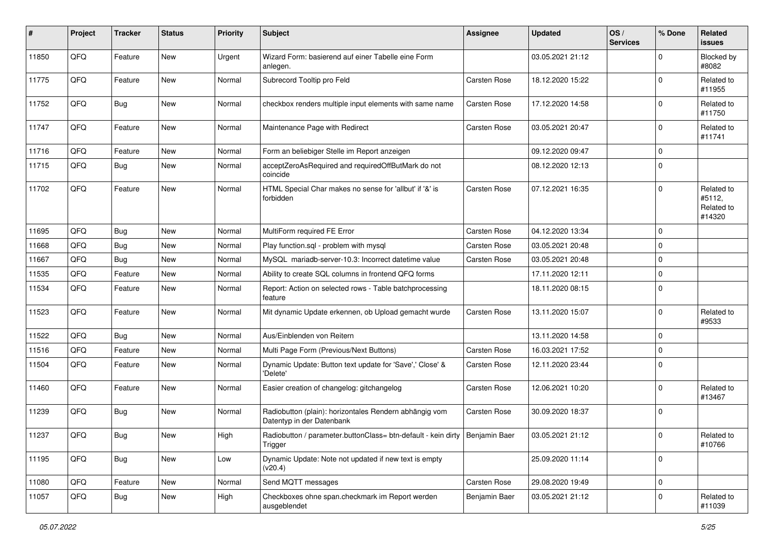| $\sharp$ | Project | <b>Tracker</b> | <b>Status</b> | <b>Priority</b> | Subject                                                                                  | <b>Assignee</b> | <b>Updated</b>   | OS/<br><b>Services</b> | % Done      | Related<br>issues                            |
|----------|---------|----------------|---------------|-----------------|------------------------------------------------------------------------------------------|-----------------|------------------|------------------------|-------------|----------------------------------------------|
| 11850    | QFQ     | Feature        | <b>New</b>    | Urgent          | Wizard Form: basierend auf einer Tabelle eine Form<br>anlegen.                           |                 | 03.05.2021 21:12 |                        | $\Omega$    | Blocked by<br>#8082                          |
| 11775    | QFQ     | Feature        | New           | Normal          | Subrecord Tooltip pro Feld                                                               | Carsten Rose    | 18.12.2020 15:22 |                        | $\Omega$    | Related to<br>#11955                         |
| 11752    | QFQ     | <b>Bug</b>     | <b>New</b>    | Normal          | checkbox renders multiple input elements with same name                                  | Carsten Rose    | 17.12.2020 14:58 |                        | $\Omega$    | Related to<br>#11750                         |
| 11747    | QFQ     | Feature        | New           | Normal          | Maintenance Page with Redirect                                                           | Carsten Rose    | 03.05.2021 20:47 |                        | $\Omega$    | Related to<br>#11741                         |
| 11716    | QFQ     | Feature        | New           | Normal          | Form an beliebiger Stelle im Report anzeigen                                             |                 | 09.12.2020 09:47 |                        | $\Omega$    |                                              |
| 11715    | QFQ     | <b>Bug</b>     | <b>New</b>    | Normal          | acceptZeroAsRequired and requiredOffButMark do not<br>coincide                           |                 | 08.12.2020 12:13 |                        | $\Omega$    |                                              |
| 11702    | QFQ     | Feature        | <b>New</b>    | Normal          | HTML Special Char makes no sense for 'allbut' if '&' is<br>forbidden                     | Carsten Rose    | 07.12.2021 16:35 |                        | $\Omega$    | Related to<br>#5112,<br>Related to<br>#14320 |
| 11695    | QFQ     | <b>Bug</b>     | New           | Normal          | MultiForm required FE Error                                                              | Carsten Rose    | 04.12.2020 13:34 |                        | $\Omega$    |                                              |
| 11668    | QFQ     | <b>Bug</b>     | <b>New</b>    | Normal          | Play function.sql - problem with mysql                                                   | Carsten Rose    | 03.05.2021 20:48 |                        | $\Omega$    |                                              |
| 11667    | QFQ     | <b>Bug</b>     | <b>New</b>    | Normal          | MySQL mariadb-server-10.3: Incorrect datetime value                                      | Carsten Rose    | 03.05.2021 20:48 |                        | $\Omega$    |                                              |
| 11535    | QFQ     | Feature        | <b>New</b>    | Normal          | Ability to create SQL columns in frontend QFQ forms                                      |                 | 17.11.2020 12:11 |                        | $\Omega$    |                                              |
| 11534    | QFQ     | Feature        | New           | Normal          | Report: Action on selected rows - Table batchprocessing<br>feature                       |                 | 18.11.2020 08:15 |                        | $\Omega$    |                                              |
| 11523    | QFQ     | Feature        | New           | Normal          | Mit dynamic Update erkennen, ob Upload gemacht wurde                                     | Carsten Rose    | 13.11.2020 15:07 |                        | $\Omega$    | Related to<br>#9533                          |
| 11522    | QFQ     | <b>Bug</b>     | <b>New</b>    | Normal          | Aus/Einblenden von Reitern                                                               |                 | 13.11.2020 14:58 |                        | $\Omega$    |                                              |
| 11516    | QFQ     | Feature        | <b>New</b>    | Normal          | Multi Page Form (Previous/Next Buttons)                                                  | Carsten Rose    | 16.03.2021 17:52 |                        | $\Omega$    |                                              |
| 11504    | QFQ     | Feature        | New           | Normal          | Dynamic Update: Button text update for 'Save',' Close' &<br>'Delete'                     | Carsten Rose    | 12.11.2020 23:44 |                        | $\Omega$    |                                              |
| 11460    | QFQ     | Feature        | <b>New</b>    | Normal          | Easier creation of changelog: gitchangelog                                               | Carsten Rose    | 12.06.2021 10:20 |                        | $\Omega$    | Related to<br>#13467                         |
| 11239    | QFQ     | Bug            | <b>New</b>    | Normal          | Radiobutton (plain): horizontales Rendern abhängig vom<br>Datentyp in der Datenbank      | Carsten Rose    | 30.09.2020 18:37 |                        | $\Omega$    |                                              |
| 11237    | QFQ     | <b>Bug</b>     | New           | High            | Radiobutton / parameter.buttonClass= btn-default - kein dirty   Benjamin Baer<br>Trigger |                 | 03.05.2021 21:12 |                        | 0           | Related to<br>#10766                         |
| 11195    | QFQ     | Bug            | New           | Low             | Dynamic Update: Note not updated if new text is empty<br>(v20.4)                         |                 | 25.09.2020 11:14 |                        | $\Omega$    |                                              |
| 11080    | QFQ     | Feature        | New           | Normal          | Send MQTT messages                                                                       | Carsten Rose    | 29.08.2020 19:49 |                        | $\mathbf 0$ |                                              |
| 11057    | QFQ     | Bug            | New           | High            | Checkboxes ohne span.checkmark im Report werden<br>ausgeblendet                          | Benjamin Baer   | 03.05.2021 21:12 |                        | 0           | Related to<br>#11039                         |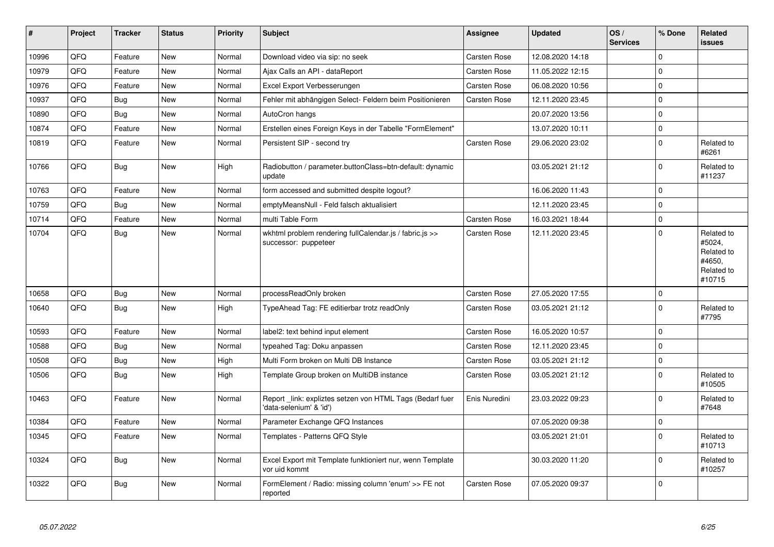| $\vert$ # | Project | <b>Tracker</b> | <b>Status</b> | <b>Priority</b> | <b>Subject</b>                                                                      | <b>Assignee</b>     | <b>Updated</b>   | OS/<br><b>Services</b> | % Done       | <b>Related</b><br><b>issues</b>                                      |
|-----------|---------|----------------|---------------|-----------------|-------------------------------------------------------------------------------------|---------------------|------------------|------------------------|--------------|----------------------------------------------------------------------|
| 10996     | QFQ     | Feature        | <b>New</b>    | Normal          | Download video via sip: no seek                                                     | <b>Carsten Rose</b> | 12.08.2020 14:18 |                        | $\Omega$     |                                                                      |
| 10979     | QFQ     | Feature        | New           | Normal          | Ajax Calls an API - dataReport                                                      | Carsten Rose        | 11.05.2022 12:15 |                        | <sup>0</sup> |                                                                      |
| 10976     | QFQ     | Feature        | <b>New</b>    | Normal          | Excel Export Verbesserungen                                                         | <b>Carsten Rose</b> | 06.08.2020 10:56 |                        | 0            |                                                                      |
| 10937     | QFQ     | <b>Bug</b>     | New           | Normal          | Fehler mit abhängigen Select- Feldern beim Positionieren                            | Carsten Rose        | 12.11.2020 23:45 |                        | 0            |                                                                      |
| 10890     | QFQ     | <b>Bug</b>     | New           | Normal          | AutoCron hangs                                                                      |                     | 20.07.2020 13:56 |                        | 0            |                                                                      |
| 10874     | QFQ     | Feature        | New           | Normal          | Erstellen eines Foreign Keys in der Tabelle "FormElement"                           |                     | 13.07.2020 10:11 |                        | 0            |                                                                      |
| 10819     | QFQ     | Feature        | New           | Normal          | Persistent SIP - second try                                                         | Carsten Rose        | 29.06.2020 23:02 |                        | 0            | Related to<br>#6261                                                  |
| 10766     | QFQ     | <b>Bug</b>     | New           | High            | Radiobutton / parameter.buttonClass=btn-default: dynamic<br>update                  |                     | 03.05.2021 21:12 |                        | $\Omega$     | Related to<br>#11237                                                 |
| 10763     | QFQ     | Feature        | New           | Normal          | form accessed and submitted despite logout?                                         |                     | 16.06.2020 11:43 |                        | $\Omega$     |                                                                      |
| 10759     | QFQ     | <b>Bug</b>     | New           | Normal          | emptyMeansNull - Feld falsch aktualisiert                                           |                     | 12.11.2020 23:45 |                        | 0            |                                                                      |
| 10714     | QFQ     | Feature        | New           | Normal          | multi Table Form                                                                    | Carsten Rose        | 16.03.2021 18:44 |                        | 0            |                                                                      |
| 10704     | QFQ     | <b>Bug</b>     | New           | Normal          | wkhtml problem rendering fullCalendar.js / fabric.js >><br>successor: puppeteer     | Carsten Rose        | 12.11.2020 23:45 |                        | $\Omega$     | Related to<br>#5024,<br>Related to<br>#4650,<br>Related to<br>#10715 |
| 10658     | QFQ     | Bug            | New           | Normal          | processReadOnly broken                                                              | Carsten Rose        | 27.05.2020 17:55 |                        | 0            |                                                                      |
| 10640     | QFQ     | <b>Bug</b>     | New           | High            | TypeAhead Tag: FE editierbar trotz readOnly                                         | Carsten Rose        | 03.05.2021 21:12 |                        | $\mathbf 0$  | Related to<br>#7795                                                  |
| 10593     | QFQ     | Feature        | New           | Normal          | label2: text behind input element                                                   | Carsten Rose        | 16.05.2020 10:57 |                        | 0            |                                                                      |
| 10588     | QFQ     | <b>Bug</b>     | <b>New</b>    | Normal          | typeahed Tag: Doku anpassen                                                         | Carsten Rose        | 12.11.2020 23:45 |                        | 0            |                                                                      |
| 10508     | QFQ     | <b>Bug</b>     | <b>New</b>    | High            | Multi Form broken on Multi DB Instance                                              | <b>Carsten Rose</b> | 03.05.2021 21:12 |                        | 0            |                                                                      |
| 10506     | QFQ     | <b>Bug</b>     | New           | High            | Template Group broken on MultiDB instance                                           | Carsten Rose        | 03.05.2021 21:12 |                        | $\mathbf 0$  | Related to<br>#10505                                                 |
| 10463     | QFQ     | Feature        | New           | Normal          | Report link: expliztes setzen von HTML Tags (Bedarf fuer<br>'data-selenium' & 'id') | Enis Nuredini       | 23.03.2022 09:23 |                        | $\mathbf 0$  | Related to<br>#7648                                                  |
| 10384     | QFQ     | Feature        | <b>New</b>    | Normal          | Parameter Exchange QFQ Instances                                                    |                     | 07.05.2020 09:38 |                        | $\mathbf 0$  |                                                                      |
| 10345     | QFQ     | Feature        | New           | Normal          | Templates - Patterns QFQ Style                                                      |                     | 03.05.2021 21:01 |                        | $\Omega$     | Related to<br>#10713                                                 |
| 10324     | QFQ     | <b>Bug</b>     | <b>New</b>    | Normal          | Excel Export mit Template funktioniert nur, wenn Template<br>vor uid kommt          |                     | 30.03.2020 11:20 |                        | $\mathbf 0$  | Related to<br>#10257                                                 |
| 10322     | QFQ     | <b>Bug</b>     | <b>New</b>    | Normal          | FormElement / Radio: missing column 'enum' >> FE not<br>reported                    | Carsten Rose        | 07.05.2020 09:37 |                        | $\mathbf 0$  |                                                                      |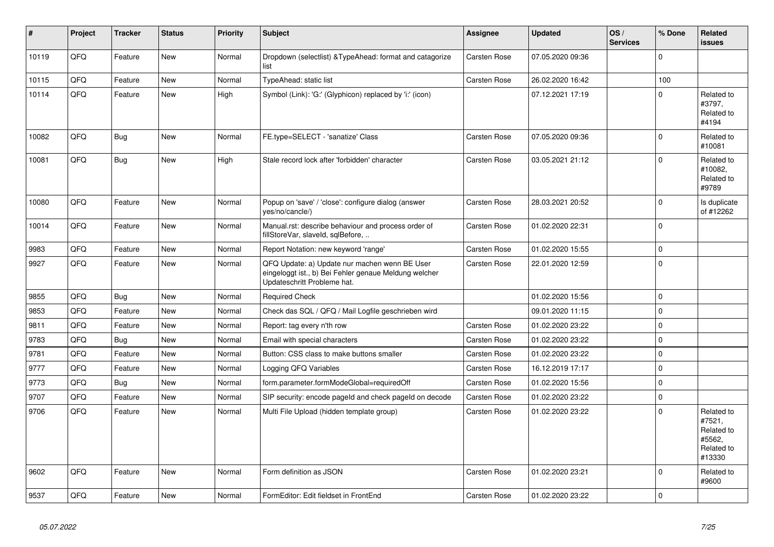| #     | Project | <b>Tracker</b> | <b>Status</b> | <b>Priority</b> | Subject                                                                                                                               | <b>Assignee</b> | <b>Updated</b>   | OS/<br><b>Services</b> | % Done      | Related<br><b>issues</b>                                             |
|-------|---------|----------------|---------------|-----------------|---------------------------------------------------------------------------------------------------------------------------------------|-----------------|------------------|------------------------|-------------|----------------------------------------------------------------------|
| 10119 | QFQ     | Feature        | <b>New</b>    | Normal          | Dropdown (selectlist) & Type Ahead: format and catagorize<br>list                                                                     | Carsten Rose    | 07.05.2020 09:36 |                        | $\Omega$    |                                                                      |
| 10115 | QFQ     | Feature        | <b>New</b>    | Normal          | <b>TypeAhead: static list</b>                                                                                                         | Carsten Rose    | 26.02.2020 16:42 |                        | 100         |                                                                      |
| 10114 | QFQ     | Feature        | <b>New</b>    | High            | Symbol (Link): 'G:' (Glyphicon) replaced by 'i:' (icon)                                                                               |                 | 07.12.2021 17:19 |                        | $\Omega$    | Related to<br>#3797,<br>Related to<br>#4194                          |
| 10082 | QFQ     | Bug            | <b>New</b>    | Normal          | FE.type=SELECT - 'sanatize' Class                                                                                                     | Carsten Rose    | 07.05.2020 09:36 |                        | $\Omega$    | Related to<br>#10081                                                 |
| 10081 | QFQ     | Bug            | <b>New</b>    | High            | Stale record lock after 'forbidden' character                                                                                         | Carsten Rose    | 03.05.2021 21:12 |                        | $\Omega$    | Related to<br>#10082.<br>Related to<br>#9789                         |
| 10080 | QFQ     | Feature        | New           | Normal          | Popup on 'save' / 'close': configure dialog (answer<br>yes/no/cancle/)                                                                | Carsten Rose    | 28.03.2021 20:52 |                        | $\Omega$    | Is duplicate<br>of #12262                                            |
| 10014 | QFQ     | Feature        | <b>New</b>    | Normal          | Manual.rst: describe behaviour and process order of<br>fillStoreVar, slaveId, sqlBefore,                                              | Carsten Rose    | 01.02.2020 22:31 |                        | $\Omega$    |                                                                      |
| 9983  | QFQ     | Feature        | <b>New</b>    | Normal          | Report Notation: new keyword 'range'                                                                                                  | Carsten Rose    | 01.02.2020 15:55 |                        | $\Omega$    |                                                                      |
| 9927  | QFQ     | Feature        | <b>New</b>    | Normal          | QFQ Update: a) Update nur machen wenn BE User<br>eingeloggt ist., b) Bei Fehler genaue Meldung welcher<br>Updateschritt Probleme hat. | Carsten Rose    | 22.01.2020 12:59 |                        | $\Omega$    |                                                                      |
| 9855  | QFQ     | <b>Bug</b>     | New           | Normal          | <b>Required Check</b>                                                                                                                 |                 | 01.02.2020 15:56 |                        | $\mathbf 0$ |                                                                      |
| 9853  | QFQ     | Feature        | <b>New</b>    | Normal          | Check das SQL / QFQ / Mail Logfile geschrieben wird                                                                                   |                 | 09.01.2020 11:15 |                        | $\Omega$    |                                                                      |
| 9811  | QFQ     | Feature        | New           | Normal          | Report: tag every n'th row                                                                                                            | Carsten Rose    | 01.02.2020 23:22 |                        | $\mathbf 0$ |                                                                      |
| 9783  | QFQ     | Bug            | New           | Normal          | Email with special characters                                                                                                         | Carsten Rose    | 01.02.2020 23:22 |                        | $\Omega$    |                                                                      |
| 9781  | QFQ     | Feature        | <b>New</b>    | Normal          | Button: CSS class to make buttons smaller                                                                                             | Carsten Rose    | 01.02.2020 23:22 |                        | $\Omega$    |                                                                      |
| 9777  | QFQ     | Feature        | <b>New</b>    | Normal          | Logging QFQ Variables                                                                                                                 | Carsten Rose    | 16.12.2019 17:17 |                        | $\Omega$    |                                                                      |
| 9773  | QFQ     | <b>Bug</b>     | <b>New</b>    | Normal          | form.parameter.formModeGlobal=requiredOff                                                                                             | Carsten Rose    | 01.02.2020 15:56 |                        | $\Omega$    |                                                                      |
| 9707  | QFQ     | Feature        | <b>New</b>    | Normal          | SIP security: encode pageld and check pageld on decode                                                                                | Carsten Rose    | 01.02.2020 23:22 |                        | $\Omega$    |                                                                      |
| 9706  | QFQ     | Feature        | <b>New</b>    | Normal          | Multi File Upload (hidden template group)                                                                                             | Carsten Rose    | 01.02.2020 23:22 |                        | $\Omega$    | Related to<br>#7521,<br>Related to<br>#5562,<br>Related to<br>#13330 |
| 9602  | QFQ     | Feature        | New           | Normal          | Form definition as JSON                                                                                                               | Carsten Rose    | 01.02.2020 23:21 |                        | $\Omega$    | Related to<br>#9600                                                  |
| 9537  | QFQ     | Feature        | New           | Normal          | FormEditor: Edit fieldset in FrontEnd                                                                                                 | Carsten Rose    | 01.02.2020 23:22 |                        | $\Omega$    |                                                                      |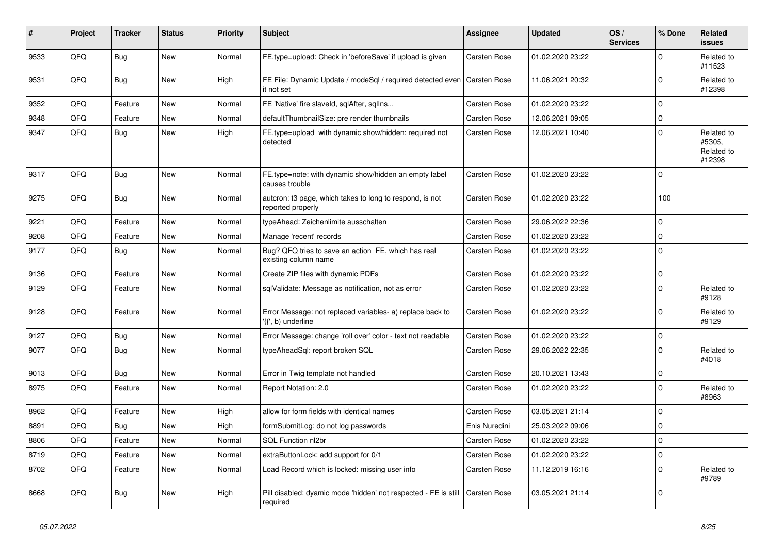| #    | Project | <b>Tracker</b> | <b>Status</b> | <b>Priority</b> | <b>Subject</b>                                                                  | <b>Assignee</b>     | <b>Updated</b>   | OS/<br><b>Services</b> | % Done      | Related<br>issues                            |
|------|---------|----------------|---------------|-----------------|---------------------------------------------------------------------------------|---------------------|------------------|------------------------|-------------|----------------------------------------------|
| 9533 | QFQ     | <b>Bug</b>     | New           | Normal          | FE.type=upload: Check in 'beforeSave' if upload is given                        | Carsten Rose        | 01.02.2020 23:22 |                        | $\Omega$    | Related to<br>#11523                         |
| 9531 | QFQ     | Bug            | New           | High            | FE File: Dynamic Update / modeSql / required detected even<br>it not set        | <b>Carsten Rose</b> | 11.06.2021 20:32 |                        | $\Omega$    | Related to<br>#12398                         |
| 9352 | QFQ     | Feature        | New           | Normal          | FE 'Native' fire slaveld, sqlAfter, sqlIns                                      | Carsten Rose        | 01.02.2020 23:22 |                        | $\Omega$    |                                              |
| 9348 | QFQ     | Feature        | <b>New</b>    | Normal          | defaultThumbnailSize: pre render thumbnails                                     | Carsten Rose        | 12.06.2021 09:05 |                        | $\Omega$    |                                              |
| 9347 | QFQ     | <b>Bug</b>     | New           | High            | FE.type=upload with dynamic show/hidden: required not<br>detected               | Carsten Rose        | 12.06.2021 10:40 |                        | $\Omega$    | Related to<br>#5305,<br>Related to<br>#12398 |
| 9317 | QFQ     | <b>Bug</b>     | <b>New</b>    | Normal          | FE.type=note: with dynamic show/hidden an empty label<br>causes trouble         | Carsten Rose        | 01.02.2020 23:22 |                        | $\Omega$    |                                              |
| 9275 | QFQ     | <b>Bug</b>     | New           | Normal          | autcron: t3 page, which takes to long to respond, is not<br>reported properly   | Carsten Rose        | 01.02.2020 23:22 |                        | 100         |                                              |
| 9221 | QFQ     | Feature        | <b>New</b>    | Normal          | typeAhead: Zeichenlimite ausschalten                                            | Carsten Rose        | 29.06.2022 22:36 |                        | $\Omega$    |                                              |
| 9208 | QFQ     | Feature        | <b>New</b>    | Normal          | Manage 'recent' records                                                         | Carsten Rose        | 01.02.2020 23:22 |                        | $\Omega$    |                                              |
| 9177 | QFQ     | <b>Bug</b>     | New           | Normal          | Bug? QFQ tries to save an action FE, which has real<br>existing column name     | Carsten Rose        | 01.02.2020 23:22 |                        | $\Omega$    |                                              |
| 9136 | QFQ     | Feature        | <b>New</b>    | Normal          | Create ZIP files with dynamic PDFs                                              | Carsten Rose        | 01.02.2020 23:22 |                        | $\Omega$    |                                              |
| 9129 | QFQ     | Feature        | <b>New</b>    | Normal          | sqlValidate: Message as notification, not as error                              | Carsten Rose        | 01.02.2020 23:22 |                        | $\Omega$    | Related to<br>#9128                          |
| 9128 | QFQ     | Feature        | <b>New</b>    | Normal          | Error Message: not replaced variables- a) replace back to<br>'{{', b) underline | Carsten Rose        | 01.02.2020 23:22 |                        | $\Omega$    | Related to<br>#9129                          |
| 9127 | QFQ     | <b>Bug</b>     | New           | Normal          | Error Message: change 'roll over' color - text not readable                     | Carsten Rose        | 01.02.2020 23:22 |                        | $\mathbf 0$ |                                              |
| 9077 | QFQ     | <b>Bug</b>     | New           | Normal          | typeAheadSql: report broken SQL                                                 | Carsten Rose        | 29.06.2022 22:35 |                        | $\Omega$    | Related to<br>#4018                          |
| 9013 | QFQ     | <b>Bug</b>     | New           | Normal          | Error in Twig template not handled                                              | Carsten Rose        | 20.10.2021 13:43 |                        | $\Omega$    |                                              |
| 8975 | QFQ     | Feature        | <b>New</b>    | Normal          | Report Notation: 2.0                                                            | Carsten Rose        | 01.02.2020 23:22 |                        | $\Omega$    | Related to<br>#8963                          |
| 8962 | QFQ     | Feature        | <b>New</b>    | High            | allow for form fields with identical names                                      | Carsten Rose        | 03.05.2021 21:14 |                        | $\Omega$    |                                              |
| 8891 | QFQ     | Bug            | New           | High            | formSubmitLog: do not log passwords                                             | Enis Nuredini       | 25.03.2022 09:06 |                        | $\Omega$    |                                              |
| 8806 | QFQ     | Feature        | New           | Normal          | SQL Function nl2br                                                              | Carsten Rose        | 01.02.2020 23:22 |                        | 0           |                                              |
| 8719 | QFQ     | Feature        | New           | Normal          | extraButtonLock: add support for 0/1                                            | Carsten Rose        | 01.02.2020 23:22 |                        | $\mathbf 0$ |                                              |
| 8702 | QFQ     | Feature        | New           | Normal          | Load Record which is locked: missing user info                                  | Carsten Rose        | 11.12.2019 16:16 |                        | $\mathbf 0$ | Related to<br>#9789                          |
| 8668 | QFQ     | <b>Bug</b>     | New           | High            | Pill disabled: dyamic mode 'hidden' not respected - FE is still<br>required     | Carsten Rose        | 03.05.2021 21:14 |                        | 0           |                                              |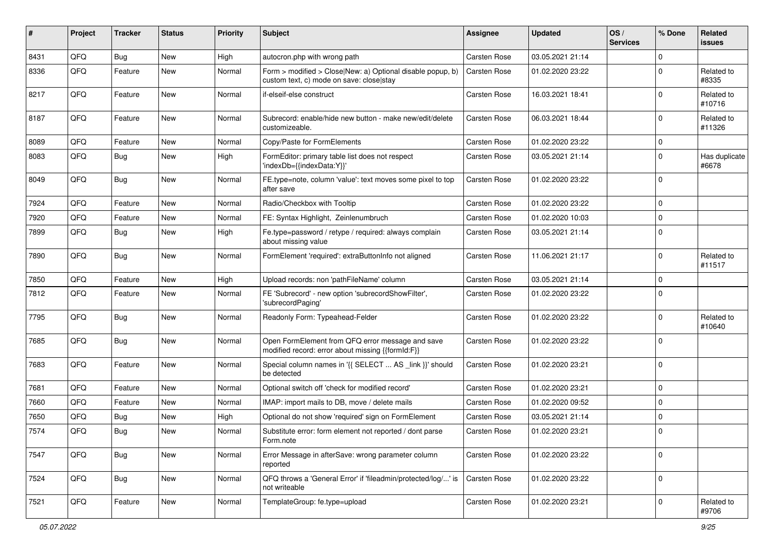| ∦    | Project | <b>Tracker</b> | <b>Status</b> | <b>Priority</b> | <b>Subject</b>                                                                                         | <b>Assignee</b> | <b>Updated</b>   | OS/<br><b>Services</b> | % Done      | Related<br>issues      |
|------|---------|----------------|---------------|-----------------|--------------------------------------------------------------------------------------------------------|-----------------|------------------|------------------------|-------------|------------------------|
| 8431 | QFQ     | <b>Bug</b>     | New           | High            | autocron.php with wrong path                                                                           | Carsten Rose    | 03.05.2021 21:14 |                        | $\mathbf 0$ |                        |
| 8336 | QFQ     | Feature        | <b>New</b>    | Normal          | Form > modified > Close New: a) Optional disable popup, b)<br>custom text, c) mode on save: close stay | Carsten Rose    | 01.02.2020 23:22 |                        | $\mathbf 0$ | Related to<br>#8335    |
| 8217 | QFQ     | Feature        | New           | Normal          | if-elseif-else construct                                                                               | Carsten Rose    | 16.03.2021 18:41 |                        | $\Omega$    | Related to<br>#10716   |
| 8187 | QFQ     | Feature        | <b>New</b>    | Normal          | Subrecord: enable/hide new button - make new/edit/delete<br>customizeable.                             | Carsten Rose    | 06.03.2021 18:44 |                        | $\mathbf 0$ | Related to<br>#11326   |
| 8089 | QFQ     | Feature        | New           | Normal          | Copy/Paste for FormElements                                                                            | Carsten Rose    | 01.02.2020 23:22 |                        | 0           |                        |
| 8083 | QFQ     | Bug            | <b>New</b>    | High            | FormEditor: primary table list does not respect<br>'indexDb={{indexData:Y}}'                           | Carsten Rose    | 03.05.2021 21:14 |                        | $\Omega$    | Has duplicate<br>#6678 |
| 8049 | QFQ     | Bug            | <b>New</b>    | Normal          | FE.type=note, column 'value': text moves some pixel to top<br>after save                               | Carsten Rose    | 01.02.2020 23:22 |                        | $\Omega$    |                        |
| 7924 | QFQ     | Feature        | <b>New</b>    | Normal          | Radio/Checkbox with Tooltip                                                                            | Carsten Rose    | 01.02.2020 23:22 |                        | $\Omega$    |                        |
| 7920 | QFQ     | Feature        | New           | Normal          | FE: Syntax Highlight, Zeinlenumbruch                                                                   | Carsten Rose    | 01.02.2020 10:03 |                        | $\Omega$    |                        |
| 7899 | QFQ     | Bug            | New           | High            | Fe.type=password / retype / required: always complain<br>about missing value                           | Carsten Rose    | 03.05.2021 21:14 |                        | $\Omega$    |                        |
| 7890 | QFQ     | Bug            | <b>New</b>    | Normal          | FormElement 'required': extraButtonInfo not aligned                                                    | Carsten Rose    | 11.06.2021 21:17 |                        | $\mathbf 0$ | Related to<br>#11517   |
| 7850 | QFQ     | Feature        | <b>New</b>    | High            | Upload records: non 'pathFileName' column                                                              | Carsten Rose    | 03.05.2021 21:14 |                        | $\Omega$    |                        |
| 7812 | QFQ     | Feature        | New           | Normal          | FE 'Subrecord' - new option 'subrecordShowFilter',<br>'subrecordPaging'                                | Carsten Rose    | 01.02.2020 23:22 |                        | $\Omega$    |                        |
| 7795 | QFQ     | Bug            | <b>New</b>    | Normal          | Readonly Form: Typeahead-Felder                                                                        | Carsten Rose    | 01.02.2020 23:22 |                        | $\Omega$    | Related to<br>#10640   |
| 7685 | QFQ     | <b>Bug</b>     | New           | Normal          | Open FormElement from QFQ error message and save<br>modified record: error about missing {{formId:F}}  | Carsten Rose    | 01.02.2020 23:22 |                        | $\Omega$    |                        |
| 7683 | QFQ     | Feature        | New           | Normal          | Special column names in '{{ SELECT  AS _link }}' should<br>be detected                                 | Carsten Rose    | 01.02.2020 23:21 |                        | $\Omega$    |                        |
| 7681 | QFQ     | Feature        | <b>New</b>    | Normal          | Optional switch off 'check for modified record'                                                        | Carsten Rose    | 01.02.2020 23:21 |                        | $\mathbf 0$ |                        |
| 7660 | QFQ     | Feature        | New           | Normal          | IMAP: import mails to DB, move / delete mails                                                          | Carsten Rose    | 01.02.2020 09:52 |                        | $\mathbf 0$ |                        |
| 7650 | QFQ     | <b>Bug</b>     | <b>New</b>    | High            | Optional do not show 'required' sign on FormElement                                                    | Carsten Rose    | 03.05.2021 21:14 |                        | $\Omega$    |                        |
| 7574 | QFQ     | <b>Bug</b>     | <b>New</b>    | Normal          | Substitute error: form element not reported / dont parse<br>Form.note                                  | Carsten Rose    | 01.02.2020 23:21 |                        | $\mathbf 0$ |                        |
| 7547 | QFQ     | Bug            | New           | Normal          | Error Message in afterSave: wrong parameter column<br>reported                                         | Carsten Rose    | 01.02.2020 23:22 |                        | 0           |                        |
| 7524 | QFQ     | <b>Bug</b>     | New           | Normal          | QFQ throws a 'General Error' if 'fileadmin/protected/log/' is<br>not writeable                         | Carsten Rose    | 01.02.2020 23:22 |                        | $\mathbf 0$ |                        |
| 7521 | QFQ     | Feature        | New           | Normal          | TemplateGroup: fe.type=upload                                                                          | Carsten Rose    | 01.02.2020 23:21 |                        | 0           | Related to<br>#9706    |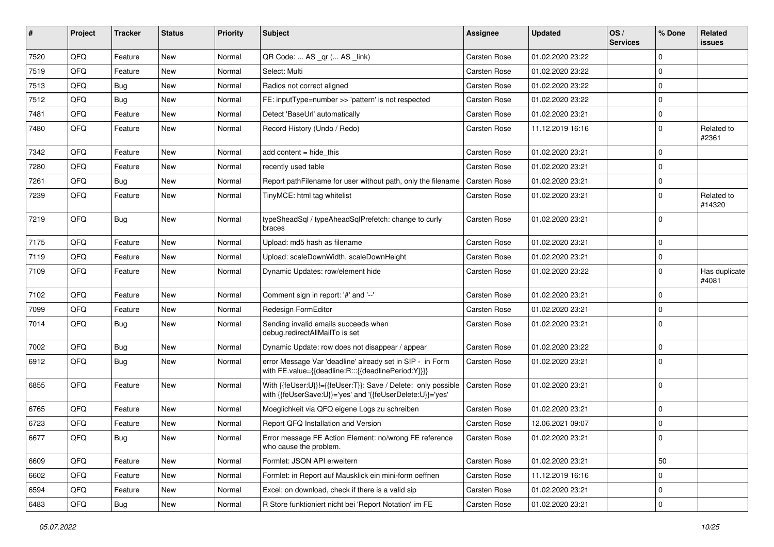| ∦    | Project | <b>Tracker</b> | <b>Status</b> | <b>Priority</b> | <b>Subject</b>                                                                                                             | <b>Assignee</b> | <b>Updated</b>   | OS/<br><b>Services</b> | % Done      | Related<br><b>issues</b> |
|------|---------|----------------|---------------|-----------------|----------------------------------------------------------------------------------------------------------------------------|-----------------|------------------|------------------------|-------------|--------------------------|
| 7520 | QFQ     | Feature        | <b>New</b>    | Normal          | QR Code:  AS _qr ( AS _link)                                                                                               | Carsten Rose    | 01.02.2020 23:22 |                        | $\Omega$    |                          |
| 7519 | QFQ     | Feature        | New           | Normal          | Select: Multi                                                                                                              | Carsten Rose    | 01.02.2020 23:22 |                        | $\mathbf 0$ |                          |
| 7513 | QFQ     | <b>Bug</b>     | New           | Normal          | Radios not correct aligned                                                                                                 | Carsten Rose    | 01.02.2020 23:22 |                        | $\Omega$    |                          |
| 7512 | QFQ     | Bug            | New           | Normal          | FE: inputType=number >> 'pattern' is not respected                                                                         | Carsten Rose    | 01.02.2020 23:22 |                        | $\mathbf 0$ |                          |
| 7481 | QFQ     | Feature        | New           | Normal          | Detect 'BaseUrl' automatically                                                                                             | Carsten Rose    | 01.02.2020 23:21 |                        | 0           |                          |
| 7480 | QFQ     | Feature        | New           | Normal          | Record History (Undo / Redo)                                                                                               | Carsten Rose    | 11.12.2019 16:16 |                        | $\mathbf 0$ | Related to<br>#2361      |
| 7342 | QFQ     | Feature        | New           | Normal          | add content = hide this                                                                                                    | Carsten Rose    | 01.02.2020 23:21 |                        | $\Omega$    |                          |
| 7280 | QFQ     | Feature        | New           | Normal          | recently used table                                                                                                        | Carsten Rose    | 01.02.2020 23:21 |                        | $\Omega$    |                          |
| 7261 | QFQ     | <b>Bug</b>     | New           | Normal          | Report pathFilename for user without path, only the filename                                                               | Carsten Rose    | 01.02.2020 23:21 |                        | $\mathbf 0$ |                          |
| 7239 | QFQ     | Feature        | New           | Normal          | TinyMCE: html tag whitelist                                                                                                | Carsten Rose    | 01.02.2020 23:21 |                        | $\Omega$    | Related to<br>#14320     |
| 7219 | QFQ     | <b>Bug</b>     | New           | Normal          | typeSheadSql / typeAheadSqlPrefetch: change to curly<br>braces                                                             | Carsten Rose    | 01.02.2020 23:21 |                        | $\Omega$    |                          |
| 7175 | QFQ     | Feature        | New           | Normal          | Upload: md5 hash as filename                                                                                               | Carsten Rose    | 01.02.2020 23:21 |                        | $\mathbf 0$ |                          |
| 7119 | QFQ     | Feature        | New           | Normal          | Upload: scaleDownWidth, scaleDownHeight                                                                                    | Carsten Rose    | 01.02.2020 23:21 |                        | $\Omega$    |                          |
| 7109 | QFQ     | Feature        | New           | Normal          | Dynamic Updates: row/element hide                                                                                          | Carsten Rose    | 01.02.2020 23:22 |                        | $\Omega$    | Has duplicate<br>#4081   |
| 7102 | QFQ     | Feature        | New           | Normal          | Comment sign in report: '#' and '--'                                                                                       | Carsten Rose    | 01.02.2020 23:21 |                        | $\Omega$    |                          |
| 7099 | QFQ     | Feature        | <b>New</b>    | Normal          | Redesign FormEditor                                                                                                        | Carsten Rose    | 01.02.2020 23:21 |                        | $\Omega$    |                          |
| 7014 | QFQ     | Bug            | New           | Normal          | Sending invalid emails succeeds when<br>debug.redirectAllMailTo is set                                                     | Carsten Rose    | 01.02.2020 23:21 |                        | $\Omega$    |                          |
| 7002 | QFQ     | <b>Bug</b>     | New           | Normal          | Dynamic Update: row does not disappear / appear                                                                            | Carsten Rose    | 01.02.2020 23:22 |                        | $\mathbf 0$ |                          |
| 6912 | QFQ     | Bug            | New           | Normal          | error Message Var 'deadline' already set in SIP - in Form<br>with FE.value={{deadline:R:::{{deadlinePeriod:Y}}}}           | Carsten Rose    | 01.02.2020 23:21 |                        | $\Omega$    |                          |
| 6855 | QFQ     | Feature        | New           | Normal          | With {{feUser:U}}!={{feUser:T}}: Save / Delete: only possible<br>with {{feUserSave:U}}='yes' and '{{feUserDelete:U}}='yes' | Carsten Rose    | 01.02.2020 23:21 |                        | $\mathbf 0$ |                          |
| 6765 | QFQ     | Feature        | <b>New</b>    | Normal          | Moeglichkeit via QFQ eigene Logs zu schreiben                                                                              | Carsten Rose    | 01.02.2020 23:21 |                        | $\mathbf 0$ |                          |
| 6723 | QFQ     | Feature        | New           | Normal          | Report QFQ Installation and Version                                                                                        | Carsten Rose    | 12.06.2021 09:07 |                        | $\mathbf 0$ |                          |
| 6677 | QFQ     | <b>Bug</b>     | New           | Normal          | Error message FE Action Element: no/wrong FE reference<br>who cause the problem.                                           | Carsten Rose    | 01.02.2020 23:21 |                        | $\mathbf 0$ |                          |
| 6609 | QFQ     | Feature        | New           | Normal          | Formlet: JSON API erweitern                                                                                                | Carsten Rose    | 01.02.2020 23:21 |                        | 50          |                          |
| 6602 | QFQ     | Feature        | New           | Normal          | Formlet: in Report auf Mausklick ein mini-form oeffnen                                                                     | Carsten Rose    | 11.12.2019 16:16 |                        | $\mathbf 0$ |                          |
| 6594 | QFQ     | Feature        | New           | Normal          | Excel: on download, check if there is a valid sip                                                                          | Carsten Rose    | 01.02.2020 23:21 |                        | 0           |                          |
| 6483 | QFQ     | Bug            | New           | Normal          | R Store funktioniert nicht bei 'Report Notation' im FE                                                                     | Carsten Rose    | 01.02.2020 23:21 |                        | $\pmb{0}$   |                          |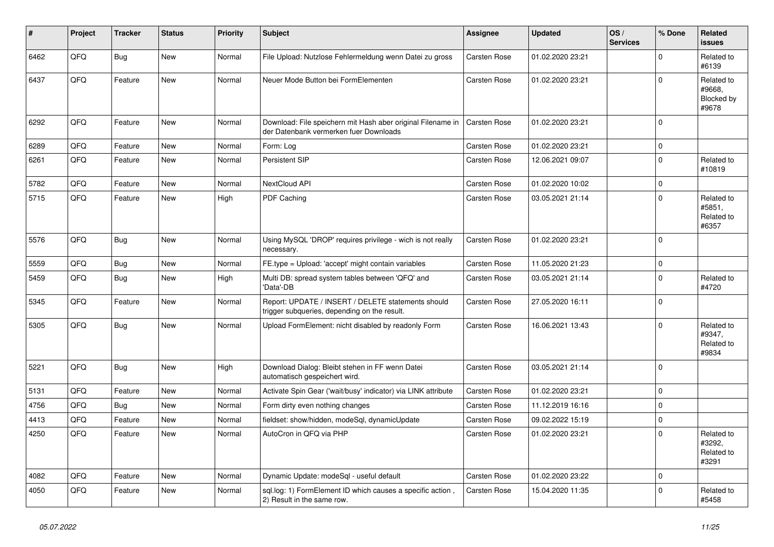| #    | Project | <b>Tracker</b> | <b>Status</b> | <b>Priority</b> | <b>Subject</b>                                                                                        | <b>Assignee</b>     | <b>Updated</b>   | OS/<br><b>Services</b> | % Done      | Related<br><b>issues</b>                    |
|------|---------|----------------|---------------|-----------------|-------------------------------------------------------------------------------------------------------|---------------------|------------------|------------------------|-------------|---------------------------------------------|
| 6462 | QFQ     | Bug            | <b>New</b>    | Normal          | File Upload: Nutzlose Fehlermeldung wenn Datei zu gross                                               | Carsten Rose        | 01.02.2020 23:21 |                        | $\Omega$    | Related to<br>#6139                         |
| 6437 | QFQ     | Feature        | New           | Normal          | Neuer Mode Button bei FormElementen                                                                   | Carsten Rose        | 01.02.2020 23:21 |                        | $\Omega$    | Related to<br>#9668,<br>Blocked by<br>#9678 |
| 6292 | QFQ     | Feature        | <b>New</b>    | Normal          | Download: File speichern mit Hash aber original Filename in<br>der Datenbank vermerken fuer Downloads | Carsten Rose        | 01.02.2020 23:21 |                        | $\Omega$    |                                             |
| 6289 | QFQ     | Feature        | <b>New</b>    | Normal          | Form: Log                                                                                             | Carsten Rose        | 01.02.2020 23:21 |                        | $\Omega$    |                                             |
| 6261 | QFQ     | Feature        | <b>New</b>    | Normal          | <b>Persistent SIP</b>                                                                                 | <b>Carsten Rose</b> | 12.06.2021 09:07 |                        | $\Omega$    | Related to<br>#10819                        |
| 5782 | QFQ     | Feature        | <b>New</b>    | Normal          | NextCloud API                                                                                         | <b>Carsten Rose</b> | 01.02.2020 10:02 |                        | $\mathbf 0$ |                                             |
| 5715 | QFQ     | Feature        | <b>New</b>    | High            | <b>PDF Caching</b>                                                                                    | Carsten Rose        | 03.05.2021 21:14 |                        | $\Omega$    | Related to<br>#5851,<br>Related to<br>#6357 |
| 5576 | QFQ     | Bug            | <b>New</b>    | Normal          | Using MySQL 'DROP' requires privilege - wich is not really<br>necessary.                              | Carsten Rose        | 01.02.2020 23:21 |                        | $\Omega$    |                                             |
| 5559 | QFQ     | <b>Bug</b>     | <b>New</b>    | Normal          | FE.type = Upload: 'accept' might contain variables                                                    | <b>Carsten Rose</b> | 11.05.2020 21:23 |                        | 0           |                                             |
| 5459 | QFQ     | Bug            | New           | High            | Multi DB: spread system tables between 'QFQ' and<br>'Data'-DB                                         | <b>Carsten Rose</b> | 03.05.2021 21:14 |                        | $\Omega$    | Related to<br>#4720                         |
| 5345 | QFQ     | Feature        | <b>New</b>    | Normal          | Report: UPDATE / INSERT / DELETE statements should<br>trigger subqueries, depending on the result.    | Carsten Rose        | 27.05.2020 16:11 |                        | $\Omega$    |                                             |
| 5305 | QFQ     | Bug            | New           | Normal          | Upload FormElement: nicht disabled by readonly Form                                                   | Carsten Rose        | 16.06.2021 13:43 |                        | $\Omega$    | Related to<br>#9347,<br>Related to<br>#9834 |
| 5221 | QFQ     | Bug            | <b>New</b>    | High            | Download Dialog: Bleibt stehen in FF wenn Datei<br>automatisch gespeichert wird.                      | Carsten Rose        | 03.05.2021 21:14 |                        | $\Omega$    |                                             |
| 5131 | QFQ     | Feature        | <b>New</b>    | Normal          | Activate Spin Gear ('wait/busy' indicator) via LINK attribute                                         | Carsten Rose        | 01.02.2020 23:21 |                        | $\Omega$    |                                             |
| 4756 | QFQ     | Bug            | <b>New</b>    | Normal          | Form dirty even nothing changes                                                                       | Carsten Rose        | 11.12.2019 16:16 |                        | $\mathbf 0$ |                                             |
| 4413 | QFQ     | Feature        | <b>New</b>    | Normal          | fieldset: show/hidden, modeSql, dynamicUpdate                                                         | Carsten Rose        | 09.02.2022 15:19 |                        | $\Omega$    |                                             |
| 4250 | QFQ     | Feature        | <b>New</b>    | Normal          | AutoCron in QFQ via PHP                                                                               | <b>Carsten Rose</b> | 01.02.2020 23:21 |                        | $\Omega$    | Related to<br>#3292,<br>Related to<br>#3291 |
| 4082 | QFQ     | Feature        | <b>New</b>    | Normal          | Dynamic Update: modeSql - useful default                                                              | Carsten Rose        | 01.02.2020 23:22 |                        | $\Omega$    |                                             |
| 4050 | QFQ     | Feature        | <b>New</b>    | Normal          | sql.log: 1) FormElement ID which causes a specific action,<br>2) Result in the same row.              | Carsten Rose        | 15.04.2020 11:35 |                        | $\Omega$    | Related to<br>#5458                         |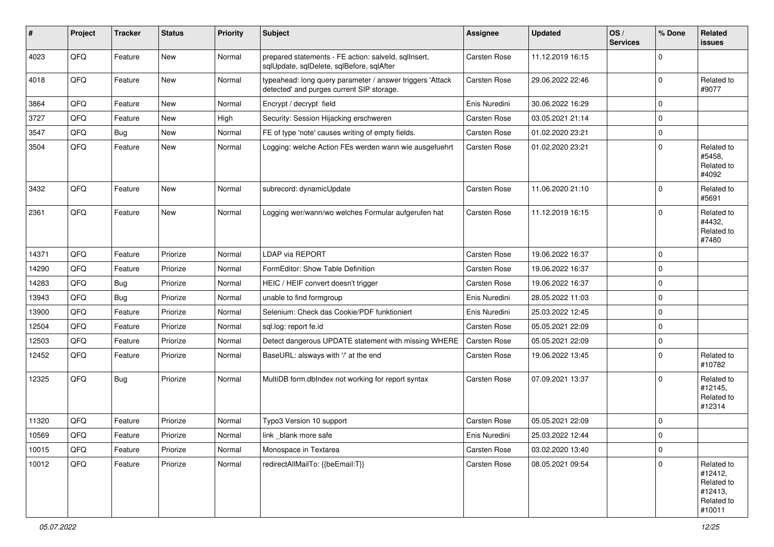| #     | Project | <b>Tracker</b> | <b>Status</b> | <b>Priority</b> | Subject                                                                                                | <b>Assignee</b> | <b>Updated</b>   | OS/<br><b>Services</b> | % Done      | Related<br>issues                                                      |
|-------|---------|----------------|---------------|-----------------|--------------------------------------------------------------------------------------------------------|-----------------|------------------|------------------------|-------------|------------------------------------------------------------------------|
| 4023  | QFQ     | Feature        | New           | Normal          | prepared statements - FE action: salveld, sqllnsert,<br>sqlUpdate, sqlDelete, sqlBefore, sqlAfter      | Carsten Rose    | 11.12.2019 16:15 |                        | $\Omega$    |                                                                        |
| 4018  | QFQ     | Feature        | New           | Normal          | typeahead: long query parameter / answer triggers 'Attack<br>detected' and purges current SIP storage. | Carsten Rose    | 29.06.2022 22:46 |                        | $\Omega$    | Related to<br>#9077                                                    |
| 3864  | QFQ     | Feature        | New           | Normal          | Encrypt / decrypt field                                                                                | Enis Nuredini   | 30.06.2022 16:29 |                        | $\Omega$    |                                                                        |
| 3727  | QFQ     | Feature        | New           | High            | Security: Session Hijacking erschweren                                                                 | Carsten Rose    | 03.05.2021 21:14 |                        | $\Omega$    |                                                                        |
| 3547  | QFQ     | <b>Bug</b>     | New           | Normal          | FE of type 'note' causes writing of empty fields.                                                      | Carsten Rose    | 01.02.2020 23:21 |                        | $\mathbf 0$ |                                                                        |
| 3504  | QFQ     | Feature        | New           | Normal          | Logging: welche Action FEs werden wann wie ausgefuehrt                                                 | Carsten Rose    | 01.02.2020 23:21 |                        | $\Omega$    | Related to<br>#5458,<br>Related to<br>#4092                            |
| 3432  | QFQ     | Feature        | New           | Normal          | subrecord: dynamicUpdate                                                                               | Carsten Rose    | 11.06.2020 21:10 |                        | $\Omega$    | Related to<br>#5691                                                    |
| 2361  | QFQ     | Feature        | New           | Normal          | Logging wer/wann/wo welches Formular aufgerufen hat                                                    | Carsten Rose    | 11.12.2019 16:15 |                        | $\Omega$    | Related to<br>#4432,<br>Related to<br>#7480                            |
| 14371 | QFQ     | Feature        | Priorize      | Normal          | <b>LDAP via REPORT</b>                                                                                 | Carsten Rose    | 19.06.2022 16:37 |                        | $\Omega$    |                                                                        |
| 14290 | QFQ     | Feature        | Priorize      | Normal          | FormEditor: Show Table Definition                                                                      | Carsten Rose    | 19.06.2022 16:37 |                        | $\Omega$    |                                                                        |
| 14283 | QFQ     | <b>Bug</b>     | Priorize      | Normal          | HEIC / HEIF convert doesn't trigger                                                                    | Carsten Rose    | 19.06.2022 16:37 |                        | $\Omega$    |                                                                        |
| 13943 | QFQ     | Bug            | Priorize      | Normal          | unable to find formgroup                                                                               | Enis Nuredini   | 28.05.2022 11:03 |                        | 0           |                                                                        |
| 13900 | QFQ     | Feature        | Priorize      | Normal          | Selenium: Check das Cookie/PDF funktioniert                                                            | Enis Nuredini   | 25.03.2022 12:45 |                        | $\Omega$    |                                                                        |
| 12504 | QFQ     | Feature        | Priorize      | Normal          | sql.log: report fe.id                                                                                  | Carsten Rose    | 05.05.2021 22:09 |                        | $\Omega$    |                                                                        |
| 12503 | QFQ     | Feature        | Priorize      | Normal          | Detect dangerous UPDATE statement with missing WHERE                                                   | Carsten Rose    | 05.05.2021 22:09 |                        | $\mathbf 0$ |                                                                        |
| 12452 | QFQ     | Feature        | Priorize      | Normal          | BaseURL: alsways with '/' at the end                                                                   | Carsten Rose    | 19.06.2022 13:45 |                        | $\Omega$    | Related to<br>#10782                                                   |
| 12325 | QFQ     | Bug            | Priorize      | Normal          | MultiDB form.dblndex not working for report syntax                                                     | Carsten Rose    | 07.09.2021 13:37 |                        | $\Omega$    | Related to<br>#12145,<br>Related to<br>#12314                          |
| 11320 | QFQ     | Feature        | Priorize      | Normal          | Typo3 Version 10 support                                                                               | Carsten Rose    | 05.05.2021 22:09 |                        | $\Omega$    |                                                                        |
| 10569 | QFQ     | Feature        | Priorize      | Normal          | link_blank more safe                                                                                   | Enis Nuredini   | 25.03.2022 12:44 |                        | 0           |                                                                        |
| 10015 | QFQ     | Feature        | Priorize      | Normal          | Monospace in Textarea                                                                                  | Carsten Rose    | 03.02.2020 13:40 |                        | 0           |                                                                        |
| 10012 | QFQ     | Feature        | Priorize      | Normal          | redirectAllMailTo: {{beEmail:T}}                                                                       | Carsten Rose    | 08.05.2021 09:54 |                        | $\Omega$    | Related to<br>#12412,<br>Related to<br>#12413,<br>Related to<br>#10011 |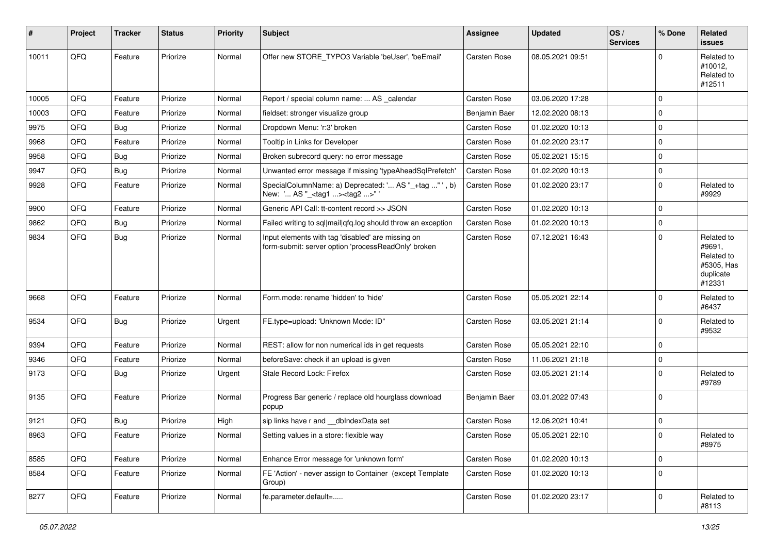| ∦     | Project | <b>Tracker</b> | <b>Status</b> | <b>Priority</b> | <b>Subject</b>                                                                                           | <b>Assignee</b> | <b>Updated</b>   | OS/<br><b>Services</b> | % Done      | Related<br><b>issues</b>                                                |
|-------|---------|----------------|---------------|-----------------|----------------------------------------------------------------------------------------------------------|-----------------|------------------|------------------------|-------------|-------------------------------------------------------------------------|
| 10011 | QFQ     | Feature        | Priorize      | Normal          | Offer new STORE_TYPO3 Variable 'beUser', 'beEmail'                                                       | Carsten Rose    | 08.05.2021 09:51 |                        | $\Omega$    | Related to<br>#10012,<br>Related to<br>#12511                           |
| 10005 | QFQ     | Feature        | Priorize      | Normal          | Report / special column name:  AS _calendar                                                              | Carsten Rose    | 03.06.2020 17:28 |                        | $\mathbf 0$ |                                                                         |
| 10003 | QFQ     | Feature        | Priorize      | Normal          | fieldset: stronger visualize group                                                                       | Benjamin Baer   | 12.02.2020 08:13 |                        | $\mathbf 0$ |                                                                         |
| 9975  | QFQ     | <b>Bug</b>     | Priorize      | Normal          | Dropdown Menu: 'r:3' broken                                                                              | Carsten Rose    | 01.02.2020 10:13 |                        | $\pmb{0}$   |                                                                         |
| 9968  | QFQ     | Feature        | Priorize      | Normal          | Tooltip in Links for Developer                                                                           | Carsten Rose    | 01.02.2020 23:17 |                        | $\Omega$    |                                                                         |
| 9958  | QFQ     | <b>Bug</b>     | Priorize      | Normal          | Broken subrecord query: no error message                                                                 | Carsten Rose    | 05.02.2021 15:15 |                        | $\mathbf 0$ |                                                                         |
| 9947  | QFQ     | <b>Bug</b>     | Priorize      | Normal          | Unwanted error message if missing 'typeAheadSqlPrefetch'                                                 | Carsten Rose    | 01.02.2020 10:13 |                        | $\pmb{0}$   |                                                                         |
| 9928  | QFQ     | Feature        | Priorize      | Normal          | SpecialColumnName: a) Deprecated: ' AS "_+tag " ', b)<br>New: ' AS "_ <tag1><tag2>"</tag2></tag1>        | Carsten Rose    | 01.02.2020 23:17 |                        | $\mathbf 0$ | Related to<br>#9929                                                     |
| 9900  | QFQ     | Feature        | Priorize      | Normal          | Generic API Call: tt-content record >> JSON                                                              | Carsten Rose    | 01.02.2020 10:13 |                        | $\mathbf 0$ |                                                                         |
| 9862  | QFQ     | <b>Bug</b>     | Priorize      | Normal          | Failed writing to sql mail qfq.log should throw an exception                                             | Carsten Rose    | 01.02.2020 10:13 |                        | $\mathbf 0$ |                                                                         |
| 9834  | QFQ     | <b>Bug</b>     | Priorize      | Normal          | Input elements with tag 'disabled' are missing on<br>form-submit: server option 'processReadOnly' broken | Carsten Rose    | 07.12.2021 16:43 |                        | $\Omega$    | Related to<br>#9691,<br>Related to<br>#5305, Has<br>duplicate<br>#12331 |
| 9668  | QFQ     | Feature        | Priorize      | Normal          | Form.mode: rename 'hidden' to 'hide'                                                                     | Carsten Rose    | 05.05.2021 22:14 |                        | $\mathbf 0$ | Related to<br>#6437                                                     |
| 9534  | QFQ     | <b>Bug</b>     | Priorize      | Urgent          | FE.type=upload: 'Unknown Mode: ID"                                                                       | Carsten Rose    | 03.05.2021 21:14 |                        | $\Omega$    | Related to<br>#9532                                                     |
| 9394  | QFQ     | Feature        | Priorize      | Normal          | REST: allow for non numerical ids in get requests                                                        | Carsten Rose    | 05.05.2021 22:10 |                        | $\Omega$    |                                                                         |
| 9346  | QFQ     | Feature        | Priorize      | Normal          | beforeSave: check if an upload is given                                                                  | Carsten Rose    | 11.06.2021 21:18 |                        | $\mathbf 0$ |                                                                         |
| 9173  | QFQ     | <b>Bug</b>     | Priorize      | Urgent          | Stale Record Lock: Firefox                                                                               | Carsten Rose    | 03.05.2021 21:14 |                        | $\Omega$    | Related to<br>#9789                                                     |
| 9135  | QFQ     | Feature        | Priorize      | Normal          | Progress Bar generic / replace old hourglass download<br>popup                                           | Benjamin Baer   | 03.01.2022 07:43 |                        | $\mathbf 0$ |                                                                         |
| 9121  | QFQ     | <b>Bug</b>     | Priorize      | High            | sip links have r and __dbIndexData set                                                                   | Carsten Rose    | 12.06.2021 10:41 |                        | $\mathbf 0$ |                                                                         |
| 8963  | QFQ     | Feature        | Priorize      | Normal          | Setting values in a store: flexible way                                                                  | Carsten Rose    | 05.05.2021 22:10 |                        | $\mathbf 0$ | Related to<br>#8975                                                     |
| 8585  | QFQ     | Feature        | Priorize      | Normal          | Enhance Error message for 'unknown form'                                                                 | Carsten Rose    | 01.02.2020 10:13 |                        | $\mathbf 0$ |                                                                         |
| 8584  | QFQ     | Feature        | Priorize      | Normal          | FE 'Action' - never assign to Container (except Template<br>Group)                                       | Carsten Rose    | 01.02.2020 10:13 |                        | $\mathbf 0$ |                                                                         |
| 8277  | QFG     | Feature        | Priorize      | Normal          | fe.parameter.default=                                                                                    | Carsten Rose    | 01.02.2020 23:17 |                        | $\mathbf 0$ | Related to<br>#8113                                                     |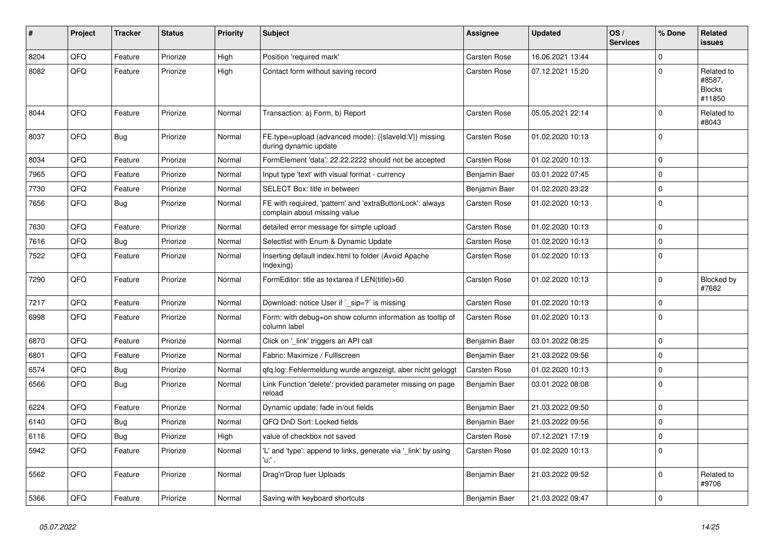| ∦    | Project    | <b>Tracker</b> | <b>Status</b> | <b>Priority</b> | <b>Subject</b>                                                                            | Assignee            | <b>Updated</b>   | OS/<br><b>Services</b> | % Done      | Related<br><b>issues</b>                        |
|------|------------|----------------|---------------|-----------------|-------------------------------------------------------------------------------------------|---------------------|------------------|------------------------|-------------|-------------------------------------------------|
| 8204 | QFQ        | Feature        | Priorize      | High            | Position 'required mark'                                                                  | Carsten Rose        | 16.06.2021 13:44 |                        | $\Omega$    |                                                 |
| 8082 | QFQ        | Feature        | Priorize      | High            | Contact form without saving record                                                        | Carsten Rose        | 07.12.2021 15:20 |                        | $\Omega$    | Related to<br>#8587,<br><b>Blocks</b><br>#11850 |
| 8044 | <b>OFO</b> | Feature        | Priorize      | Normal          | Transaction: a) Form, b) Report                                                           | Carsten Rose        | 05.05.2021 22:14 |                        | $\Omega$    | Related to<br>#8043                             |
| 8037 | QFQ        | <b>Bug</b>     | Priorize      | Normal          | FE.type=upload (advanced mode): {{slaveld:V}} missing<br>during dynamic update            | <b>Carsten Rose</b> | 01.02.2020 10:13 |                        | $\Omega$    |                                                 |
| 8034 | QFQ        | Feature        | Priorize      | Normal          | FormElement 'data': 22.22.2222 should not be accepted                                     | Carsten Rose        | 01.02.2020 10:13 |                        | $\mathbf 0$ |                                                 |
| 7965 | QFQ        | Feature        | Priorize      | Normal          | Input type 'text' with visual format - currency                                           | Benjamin Baer       | 03.01.2022 07:45 |                        | $\pmb{0}$   |                                                 |
| 7730 | QFQ        | Feature        | Priorize      | Normal          | SELECT Box: title in between                                                              | Benjamin Baer       | 01.02.2020 23:22 |                        | $\pmb{0}$   |                                                 |
| 7656 | QFQ        | <b>Bug</b>     | Priorize      | Normal          | FE with required, 'pattern' and 'extraButtonLock': always<br>complain about missing value | Carsten Rose        | 01.02.2020 10:13 |                        | $\Omega$    |                                                 |
| 7630 | QFQ        | Feature        | Priorize      | Normal          | detailed error message for simple upload                                                  | <b>Carsten Rose</b> | 01.02.2020 10:13 |                        | $\mathbf 0$ |                                                 |
| 7616 | QFQ        | <b>Bug</b>     | Priorize      | Normal          | Selectlist with Enum & Dynamic Update                                                     | <b>Carsten Rose</b> | 01.02.2020 10:13 |                        | $\mathbf 0$ |                                                 |
| 7522 | QFQ        | Feature        | Priorize      | Normal          | Inserting default index.html to folder (Avoid Apache<br>Indexing)                         | Carsten Rose        | 01.02.2020 10:13 |                        | $\mathbf 0$ |                                                 |
| 7290 | QFQ        | Feature        | Priorize      | Normal          | FormEditor: title as textarea if LEN(title)>60                                            | <b>Carsten Rose</b> | 01.02.2020 10:13 |                        | $\mathbf 0$ | Blocked by<br>#7682                             |
| 7217 | QFQ        | Feature        | Priorize      | Normal          | Download: notice User if ` sip=?` is missing                                              | <b>Carsten Rose</b> | 01.02.2020 10:13 |                        | $\mathbf 0$ |                                                 |
| 6998 | QFQ        | Feature        | Priorize      | Normal          | Form: with debug=on show column information as tooltip of<br>column label                 | <b>Carsten Rose</b> | 01.02.2020 10:13 |                        | $\mathbf 0$ |                                                 |
| 6870 | QFQ        | Feature        | Priorize      | Normal          | Click on '_link' triggers an API call                                                     | Benjamin Baer       | 03.01.2022 08:25 |                        | $\Omega$    |                                                 |
| 6801 | QFQ        | Feature        | Priorize      | Normal          | Fabric: Maximize / Fulllscreen                                                            | Benjamin Baer       | 21.03.2022 09:56 |                        | $\mathbf 0$ |                                                 |
| 6574 | QFQ        | Bug            | Priorize      | Normal          | gfg.log: Fehlermeldung wurde angezeigt, aber nicht geloggt                                | Carsten Rose        | 01.02.2020 10:13 |                        | $\mathbf 0$ |                                                 |
| 6566 | QFQ        | Bug            | Priorize      | Normal          | Link Function 'delete': provided parameter missing on page<br>reload                      | Benjamin Baer       | 03.01.2022 08:08 |                        | $\mathbf 0$ |                                                 |
| 6224 | QFQ        | Feature        | Priorize      | Normal          | Dynamic update: fade in/out fields                                                        | Benjamin Baer       | 21.03.2022 09:50 |                        | $\mathbf 0$ |                                                 |
| 6140 | QFQ        | Bug            | Priorize      | Normal          | QFQ DnD Sort: Locked fields                                                               | Benjamin Baer       | 21.03.2022 09:56 |                        | $\Omega$    |                                                 |
| 6116 | QFQ        | <b>Bug</b>     | Priorize      | High            | value of checkbox not saved                                                               | <b>Carsten Rose</b> | 07.12.2021 17:19 |                        | $\mathbf 0$ |                                                 |
| 5942 | QFQ        | Feature        | Priorize      | Normal          | 'L' and 'type': append to links, generate via '_link' by using<br>'u' .                   | <b>Carsten Rose</b> | 01.02.2020 10:13 |                        | $\Omega$    |                                                 |
| 5562 | QFQ        | Feature        | Priorize      | Normal          | Drag'n'Drop fuer Uploads                                                                  | Benjamin Baer       | 21.03.2022 09:52 |                        | $\mathbf 0$ | Related to<br>#9706                             |
| 5366 | QFQ        | Feature        | Priorize      | Normal          | Saving with keyboard shortcuts                                                            | Benjamin Baer       | 21.03.2022 09:47 |                        | $\Omega$    |                                                 |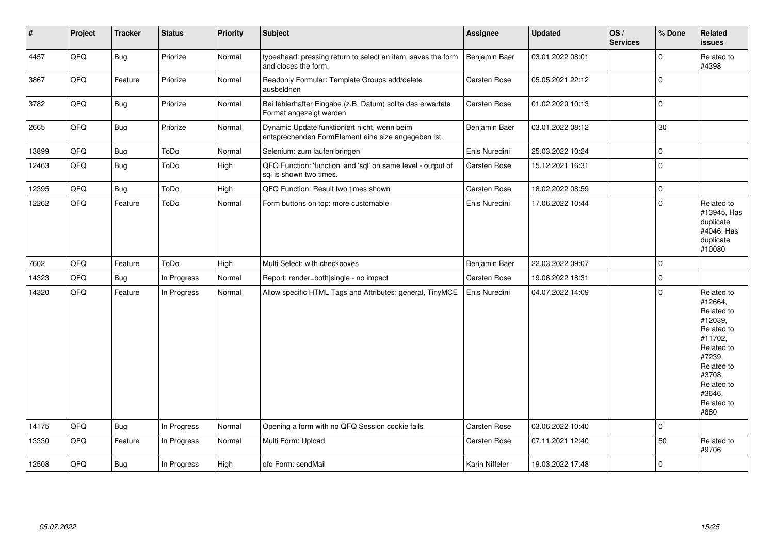| $\vert$ # | Project | <b>Tracker</b> | <b>Status</b> | <b>Priority</b> | Subject                                                                                             | Assignee            | <b>Updated</b>   | OS/<br><b>Services</b> | % Done      | Related<br><b>issues</b>                                                                                                                                              |
|-----------|---------|----------------|---------------|-----------------|-----------------------------------------------------------------------------------------------------|---------------------|------------------|------------------------|-------------|-----------------------------------------------------------------------------------------------------------------------------------------------------------------------|
| 4457      | QFQ     | <b>Bug</b>     | Priorize      | Normal          | typeahead: pressing return to select an item, saves the form<br>and closes the form.                | Benjamin Baer       | 03.01.2022 08:01 |                        | $\Omega$    | Related to<br>#4398                                                                                                                                                   |
| 3867      | QFQ     | Feature        | Priorize      | Normal          | Readonly Formular: Template Groups add/delete<br>ausbeldnen                                         | Carsten Rose        | 05.05.2021 22:12 |                        | $\Omega$    |                                                                                                                                                                       |
| 3782      | QFQ     | Bug            | Priorize      | Normal          | Bei fehlerhafter Eingabe (z.B. Datum) sollte das erwartete<br>Format angezeigt werden               | Carsten Rose        | 01.02.2020 10:13 |                        | $\mathbf 0$ |                                                                                                                                                                       |
| 2665      | QFQ     | <b>Bug</b>     | Priorize      | Normal          | Dynamic Update funktioniert nicht, wenn beim<br>entsprechenden FormElement eine size angegeben ist. | Benjamin Baer       | 03.01.2022 08:12 |                        | 30          |                                                                                                                                                                       |
| 13899     | QFQ     | <b>Bug</b>     | ToDo          | Normal          | Selenium: zum laufen bringen                                                                        | Enis Nuredini       | 25.03.2022 10:24 |                        | $\mathbf 0$ |                                                                                                                                                                       |
| 12463     | QFQ     | <b>Bug</b>     | ToDo          | High            | QFQ Function: 'function' and 'sql' on same level - output of<br>sal is shown two times.             | <b>Carsten Rose</b> | 15.12.2021 16:31 |                        | $\mathbf 0$ |                                                                                                                                                                       |
| 12395     | QFQ     | Bug            | ToDo          | High            | QFQ Function: Result two times shown                                                                | Carsten Rose        | 18.02.2022 08:59 |                        | $\mathbf 0$ |                                                                                                                                                                       |
| 12262     | QFQ     | Feature        | ToDo          | Normal          | Form buttons on top: more customable                                                                | Enis Nuredini       | 17.06.2022 10:44 |                        | $\mathbf 0$ | Related to<br>#13945, Has<br>duplicate<br>#4046, Has<br>duplicate<br>#10080                                                                                           |
| 7602      | QFQ     | Feature        | ToDo          | High            | Multi Select: with checkboxes                                                                       | Benjamin Baer       | 22.03.2022 09:07 |                        | $\mathbf 0$ |                                                                                                                                                                       |
| 14323     | QFQ     | <b>Bug</b>     | In Progress   | Normal          | Report: render=both single - no impact                                                              | Carsten Rose        | 19.06.2022 18:31 |                        | $\mathbf 0$ |                                                                                                                                                                       |
| 14320     | QFQ     | Feature        | In Progress   | Normal          | Allow specific HTML Tags and Attributes: general, TinyMCE                                           | Enis Nuredini       | 04.07.2022 14:09 |                        | $\Omega$    | Related to<br>#12664,<br>Related to<br>#12039,<br>Related to<br>#11702,<br>Related to<br>#7239,<br>Related to<br>#3708,<br>Related to<br>#3646.<br>Related to<br>#880 |
| 14175     | QFQ     | Bug            | In Progress   | Normal          | Opening a form with no QFQ Session cookie fails                                                     | <b>Carsten Rose</b> | 03.06.2022 10:40 |                        | $\mathbf 0$ |                                                                                                                                                                       |
| 13330     | QFQ     | Feature        | In Progress   | Normal          | Multi Form: Upload                                                                                  | <b>Carsten Rose</b> | 07.11.2021 12:40 |                        | 50          | Related to<br>#9706                                                                                                                                                   |
| 12508     | QFQ     | <b>Bug</b>     | In Progress   | High            | qfq Form: sendMail                                                                                  | Karin Niffeler      | 19.03.2022 17:48 |                        | $\Omega$    |                                                                                                                                                                       |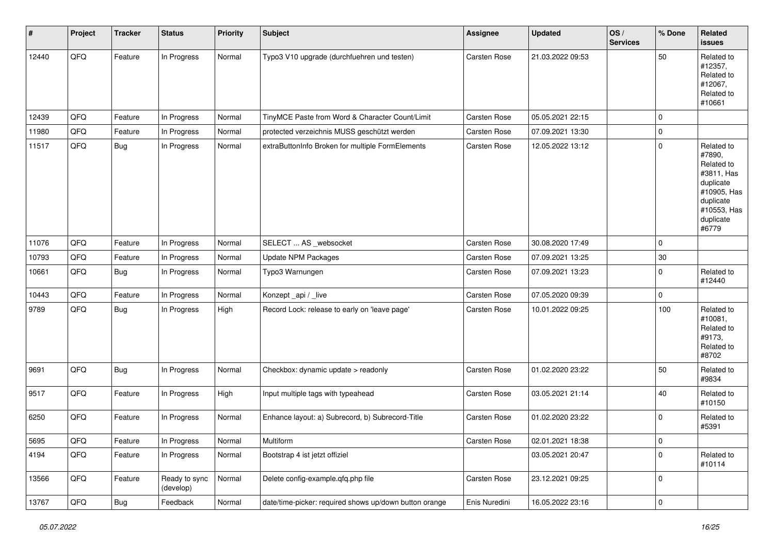| $\vert$ # | Project | <b>Tracker</b> | <b>Status</b>              | <b>Priority</b> | Subject                                                | <b>Assignee</b> | <b>Updated</b>   | OS/<br><b>Services</b> | % Done      | Related<br>issues                                                                                                              |
|-----------|---------|----------------|----------------------------|-----------------|--------------------------------------------------------|-----------------|------------------|------------------------|-------------|--------------------------------------------------------------------------------------------------------------------------------|
| 12440     | QFQ     | Feature        | In Progress                | Normal          | Typo3 V10 upgrade (durchfuehren und testen)            | Carsten Rose    | 21.03.2022 09:53 |                        | 50          | Related to<br>#12357,<br>Related to<br>#12067,<br>Related to<br>#10661                                                         |
| 12439     | QFQ     | Feature        | In Progress                | Normal          | TinyMCE Paste from Word & Character Count/Limit        | Carsten Rose    | 05.05.2021 22:15 |                        | $\mathbf 0$ |                                                                                                                                |
| 11980     | QFQ     | Feature        | In Progress                | Normal          | protected verzeichnis MUSS geschützt werden            | Carsten Rose    | 07.09.2021 13:30 |                        | 0           |                                                                                                                                |
| 11517     | QFQ     | <b>Bug</b>     | In Progress                | Normal          | extraButtonInfo Broken for multiple FormElements       | Carsten Rose    | 12.05.2022 13:12 |                        | $\mathbf 0$ | Related to<br>#7890,<br>Related to<br>#3811, Has<br>duplicate<br>#10905, Has<br>duplicate<br>#10553, Has<br>duplicate<br>#6779 |
| 11076     | QFQ     | Feature        | In Progress                | Normal          | SELECT  AS _websocket                                  | Carsten Rose    | 30.08.2020 17:49 |                        | $\mathbf 0$ |                                                                                                                                |
| 10793     | QFQ     | Feature        | In Progress                | Normal          | Update NPM Packages                                    | Carsten Rose    | 07.09.2021 13:25 |                        | $30\,$      |                                                                                                                                |
| 10661     | QFQ     | <b>Bug</b>     | In Progress                | Normal          | Typo3 Warnungen                                        | Carsten Rose    | 07.09.2021 13:23 |                        | $\mathbf 0$ | Related to<br>#12440                                                                                                           |
| 10443     | QFQ     | Feature        | In Progress                | Normal          | Konzept_api / _live                                    | Carsten Rose    | 07.05.2020 09:39 |                        | 0           |                                                                                                                                |
| 9789      | QFQ     | <b>Bug</b>     | In Progress                | High            | Record Lock: release to early on 'leave page'          | Carsten Rose    | 10.01.2022 09:25 |                        | 100         | Related to<br>#10081,<br>Related to<br>#9173,<br>Related to<br>#8702                                                           |
| 9691      | QFQ     | <b>Bug</b>     | In Progress                | Normal          | Checkbox: dynamic update > readonly                    | Carsten Rose    | 01.02.2020 23:22 |                        | 50          | Related to<br>#9834                                                                                                            |
| 9517      | QFQ     | Feature        | In Progress                | High            | Input multiple tags with typeahead                     | Carsten Rose    | 03.05.2021 21:14 |                        | 40          | Related to<br>#10150                                                                                                           |
| 6250      | QFQ     | Feature        | In Progress                | Normal          | Enhance layout: a) Subrecord, b) Subrecord-Title       | Carsten Rose    | 01.02.2020 23:22 |                        | $\mathbf 0$ | Related to<br>#5391                                                                                                            |
| 5695      | QFQ     | Feature        | In Progress                | Normal          | Multiform                                              | Carsten Rose    | 02.01.2021 18:38 |                        | 0           |                                                                                                                                |
| 4194      | QFQ     | Feature        | In Progress                | Normal          | Bootstrap 4 ist jetzt offiziel                         |                 | 03.05.2021 20:47 |                        | 0           | Related to<br>#10114                                                                                                           |
| 13566     | QFQ     | Feature        | Ready to sync<br>(develop) | Normal          | Delete config-example.qfq.php file                     | Carsten Rose    | 23.12.2021 09:25 |                        | 0           |                                                                                                                                |
| 13767     | QFG     | <b>Bug</b>     | Feedback                   | Normal          | date/time-picker: required shows up/down button orange | Enis Nuredini   | 16.05.2022 23:16 |                        | $\pmb{0}$   |                                                                                                                                |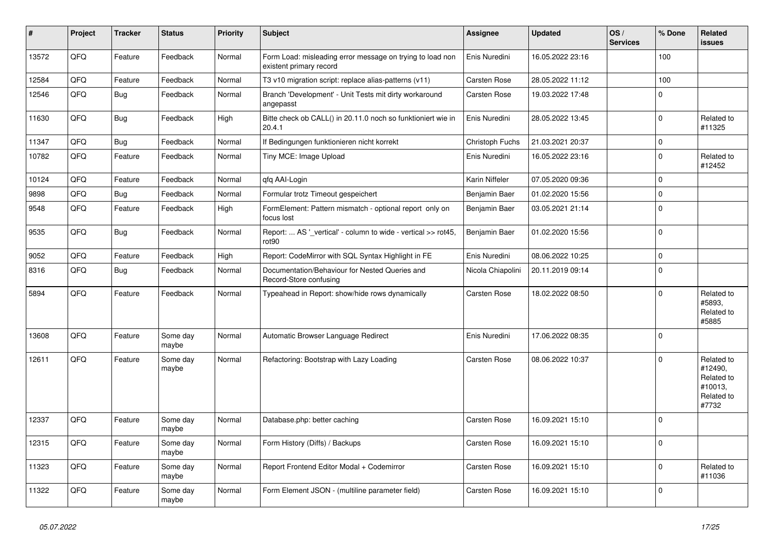| ∥ #   | Project | <b>Tracker</b> | <b>Status</b>     | <b>Priority</b> | <b>Subject</b>                                                                       | <b>Assignee</b>   | <b>Updated</b>   | OS/<br><b>Services</b> | % Done      | Related<br>issues                                                     |
|-------|---------|----------------|-------------------|-----------------|--------------------------------------------------------------------------------------|-------------------|------------------|------------------------|-------------|-----------------------------------------------------------------------|
| 13572 | QFQ     | Feature        | Feedback          | Normal          | Form Load: misleading error message on trying to load non<br>existent primary record | Enis Nuredini     | 16.05.2022 23:16 |                        | 100         |                                                                       |
| 12584 | QFQ     | Feature        | Feedback          | Normal          | T3 v10 migration script: replace alias-patterns (v11)                                | Carsten Rose      | 28.05.2022 11:12 |                        | 100         |                                                                       |
| 12546 | QFQ     | <b>Bug</b>     | Feedback          | Normal          | Branch 'Development' - Unit Tests mit dirty workaround<br>angepasst                  | Carsten Rose      | 19.03.2022 17:48 |                        | $\Omega$    |                                                                       |
| 11630 | QFQ     | <b>Bug</b>     | Feedback          | High            | Bitte check ob CALL() in 20.11.0 noch so funktioniert wie in<br>20.4.1               | Enis Nuredini     | 28.05.2022 13:45 |                        | 0           | Related to<br>#11325                                                  |
| 11347 | QFQ     | <b>Bug</b>     | Feedback          | Normal          | If Bedingungen funktionieren nicht korrekt                                           | Christoph Fuchs   | 21.03.2021 20:37 |                        | $\Omega$    |                                                                       |
| 10782 | QFQ     | Feature        | Feedback          | Normal          | Tiny MCE: Image Upload                                                               | Enis Nuredini     | 16.05.2022 23:16 |                        | $\mathbf 0$ | Related to<br>#12452                                                  |
| 10124 | QFQ     | Feature        | Feedback          | Normal          | qfq AAI-Login                                                                        | Karin Niffeler    | 07.05.2020 09:36 |                        | $\Omega$    |                                                                       |
| 9898  | QFQ     | <b>Bug</b>     | Feedback          | Normal          | Formular trotz Timeout gespeichert                                                   | Benjamin Baer     | 01.02.2020 15:56 |                        | $\Omega$    |                                                                       |
| 9548  | QFQ     | Feature        | Feedback          | High            | FormElement: Pattern mismatch - optional report only on<br>focus lost                | Benjamin Baer     | 03.05.2021 21:14 |                        | $\Omega$    |                                                                       |
| 9535  | QFQ     | <b>Bug</b>     | Feedback          | Normal          | Report:  AS '_vertical' - column to wide - vertical >> rot45,<br>rot90               | Benjamin Baer     | 01.02.2020 15:56 |                        | $\Omega$    |                                                                       |
| 9052  | QFQ     | Feature        | Feedback          | High            | Report: CodeMirror with SQL Syntax Highlight in FE                                   | Enis Nuredini     | 08.06.2022 10:25 |                        | 0           |                                                                       |
| 8316  | QFQ     | <b>Bug</b>     | Feedback          | Normal          | Documentation/Behaviour for Nested Queries and<br>Record-Store confusing             | Nicola Chiapolini | 20.11.2019 09:14 |                        | $\Omega$    |                                                                       |
| 5894  | QFQ     | Feature        | Feedback          | Normal          | Typeahead in Report: show/hide rows dynamically                                      | Carsten Rose      | 18.02.2022 08:50 |                        | $\Omega$    | Related to<br>#5893.<br>Related to<br>#5885                           |
| 13608 | QFQ     | Feature        | Some day<br>maybe | Normal          | Automatic Browser Language Redirect                                                  | Enis Nuredini     | 17.06.2022 08:35 |                        | $\Omega$    |                                                                       |
| 12611 | QFQ     | Feature        | Some day<br>maybe | Normal          | Refactoring: Bootstrap with Lazy Loading                                             | Carsten Rose      | 08.06.2022 10:37 |                        | $\Omega$    | Related to<br>#12490,<br>Related to<br>#10013,<br>Related to<br>#7732 |
| 12337 | QFQ     | Feature        | Some day<br>maybe | Normal          | Database.php: better caching                                                         | Carsten Rose      | 16.09.2021 15:10 |                        | $\Omega$    |                                                                       |
| 12315 | QFQ     | Feature        | Some day<br>maybe | Normal          | Form History (Diffs) / Backups                                                       | Carsten Rose      | 16.09.2021 15:10 |                        | $\Omega$    |                                                                       |
| 11323 | QFQ     | Feature        | Some day<br>maybe | Normal          | Report Frontend Editor Modal + Codemirror                                            | Carsten Rose      | 16.09.2021 15:10 |                        | $\Omega$    | Related to<br>#11036                                                  |
| 11322 | QFQ     | Feature        | Some day<br>maybe | Normal          | Form Element JSON - (multiline parameter field)                                      | Carsten Rose      | 16.09.2021 15:10 |                        | $\Omega$    |                                                                       |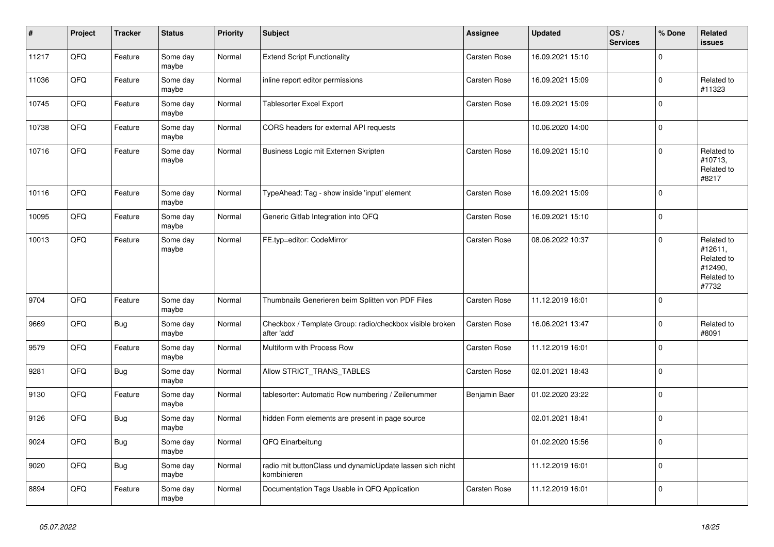| $\vert$ # | Project | <b>Tracker</b> | <b>Status</b>     | <b>Priority</b> | <b>Subject</b>                                                           | Assignee      | <b>Updated</b>   | OS/<br><b>Services</b> | % Done      | Related<br>issues                                                     |
|-----------|---------|----------------|-------------------|-----------------|--------------------------------------------------------------------------|---------------|------------------|------------------------|-------------|-----------------------------------------------------------------------|
| 11217     | QFQ     | Feature        | Some day<br>maybe | Normal          | <b>Extend Script Functionality</b>                                       | Carsten Rose  | 16.09.2021 15:10 |                        | $\Omega$    |                                                                       |
| 11036     | QFQ     | Feature        | Some day<br>maybe | Normal          | inline report editor permissions                                         | Carsten Rose  | 16.09.2021 15:09 |                        | 0           | Related to<br>#11323                                                  |
| 10745     | QFQ     | Feature        | Some day<br>maybe | Normal          | Tablesorter Excel Export                                                 | Carsten Rose  | 16.09.2021 15:09 |                        | $\mathbf 0$ |                                                                       |
| 10738     | QFQ     | Feature        | Some day<br>maybe | Normal          | CORS headers for external API requests                                   |               | 10.06.2020 14:00 |                        | $\Omega$    |                                                                       |
| 10716     | QFQ     | Feature        | Some day<br>maybe | Normal          | Business Logic mit Externen Skripten                                     | Carsten Rose  | 16.09.2021 15:10 |                        | 0           | Related to<br>#10713,<br>Related to<br>#8217                          |
| 10116     | QFQ     | Feature        | Some day<br>maybe | Normal          | TypeAhead: Tag - show inside 'input' element                             | Carsten Rose  | 16.09.2021 15:09 |                        | $\mathbf 0$ |                                                                       |
| 10095     | QFQ     | Feature        | Some day<br>maybe | Normal          | Generic Gitlab Integration into QFQ                                      | Carsten Rose  | 16.09.2021 15:10 |                        | $\pmb{0}$   |                                                                       |
| 10013     | QFQ     | Feature        | Some day<br>maybe | Normal          | FE.typ=editor: CodeMirror                                                | Carsten Rose  | 08.06.2022 10:37 |                        | $\mathbf 0$ | Related to<br>#12611,<br>Related to<br>#12490,<br>Related to<br>#7732 |
| 9704      | QFQ     | Feature        | Some day<br>maybe | Normal          | Thumbnails Generieren beim Splitten von PDF Files                        | Carsten Rose  | 11.12.2019 16:01 |                        | $\Omega$    |                                                                       |
| 9669      | QFQ     | <b>Bug</b>     | Some day<br>maybe | Normal          | Checkbox / Template Group: radio/checkbox visible broken<br>after 'add'  | Carsten Rose  | 16.06.2021 13:47 |                        | 0           | Related to<br>#8091                                                   |
| 9579      | QFQ     | Feature        | Some day<br>maybe | Normal          | Multiform with Process Row                                               | Carsten Rose  | 11.12.2019 16:01 |                        | $\Omega$    |                                                                       |
| 9281      | QFQ     | <b>Bug</b>     | Some day<br>maybe | Normal          | Allow STRICT_TRANS_TABLES                                                | Carsten Rose  | 02.01.2021 18:43 |                        | $\pmb{0}$   |                                                                       |
| 9130      | QFQ     | Feature        | Some day<br>maybe | Normal          | tablesorter: Automatic Row numbering / Zeilenummer                       | Benjamin Baer | 01.02.2020 23:22 |                        | $\mathbf 0$ |                                                                       |
| 9126      | QFQ     | <b>Bug</b>     | Some day<br>maybe | Normal          | hidden Form elements are present in page source                          |               | 02.01.2021 18:41 |                        | $\Omega$    |                                                                       |
| 9024      | QFQ     | <b>Bug</b>     | Some day<br>maybe | Normal          | QFQ Einarbeitung                                                         |               | 01.02.2020 15:56 |                        | $\mathbf 0$ |                                                                       |
| 9020      | QFQ     | <b>Bug</b>     | Some day<br>maybe | Normal          | radio mit buttonClass und dynamicUpdate lassen sich nicht<br>kombinieren |               | 11.12.2019 16:01 |                        | 0           |                                                                       |
| 8894      | QFQ     | Feature        | Some day<br>maybe | Normal          | Documentation Tags Usable in QFQ Application                             | Carsten Rose  | 11.12.2019 16:01 |                        | $\mathbf 0$ |                                                                       |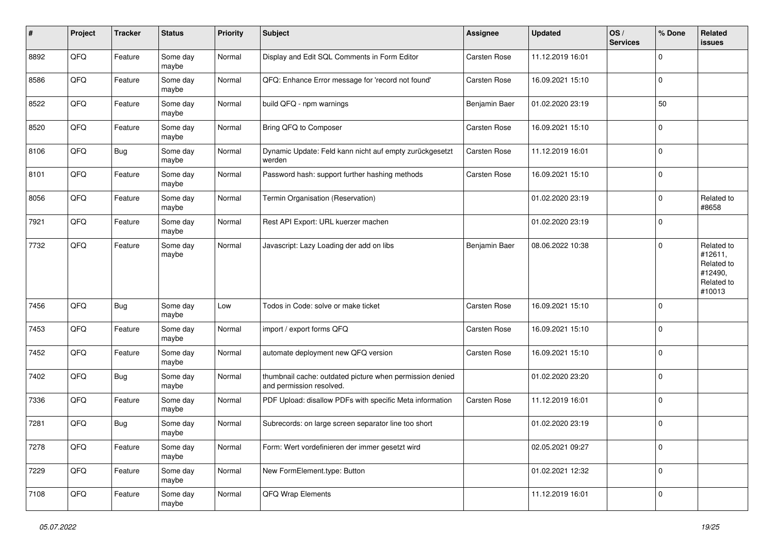| $\sharp$ | Project | <b>Tracker</b> | <b>Status</b>     | <b>Priority</b> | <b>Subject</b>                                                                       | <b>Assignee</b> | <b>Updated</b>   | OS/<br><b>Services</b> | % Done      | Related<br><b>issues</b>                                               |
|----------|---------|----------------|-------------------|-----------------|--------------------------------------------------------------------------------------|-----------------|------------------|------------------------|-------------|------------------------------------------------------------------------|
| 8892     | QFQ     | Feature        | Some day<br>maybe | Normal          | Display and Edit SQL Comments in Form Editor                                         | Carsten Rose    | 11.12.2019 16:01 |                        | $\mathbf 0$ |                                                                        |
| 8586     | QFQ     | Feature        | Some day<br>maybe | Normal          | QFQ: Enhance Error message for 'record not found'                                    | Carsten Rose    | 16.09.2021 15:10 |                        | $\mathbf 0$ |                                                                        |
| 8522     | QFQ     | Feature        | Some day<br>maybe | Normal          | build QFQ - npm warnings                                                             | Benjamin Baer   | 01.02.2020 23:19 |                        | 50          |                                                                        |
| 8520     | QFQ     | Feature        | Some day<br>maybe | Normal          | Bring QFQ to Composer                                                                | Carsten Rose    | 16.09.2021 15:10 |                        | $\mathbf 0$ |                                                                        |
| 8106     | QFQ     | <b>Bug</b>     | Some day<br>maybe | Normal          | Dynamic Update: Feld kann nicht auf empty zurückgesetzt<br>werden                    | Carsten Rose    | 11.12.2019 16:01 |                        | $\mathbf 0$ |                                                                        |
| 8101     | QFQ     | Feature        | Some day<br>maybe | Normal          | Password hash: support further hashing methods                                       | Carsten Rose    | 16.09.2021 15:10 |                        | $\mathbf 0$ |                                                                        |
| 8056     | QFQ     | Feature        | Some day<br>maybe | Normal          | Termin Organisation (Reservation)                                                    |                 | 01.02.2020 23:19 |                        | $\mathbf 0$ | Related to<br>#8658                                                    |
| 7921     | QFQ     | Feature        | Some day<br>maybe | Normal          | Rest API Export: URL kuerzer machen                                                  |                 | 01.02.2020 23:19 |                        | $\mathbf 0$ |                                                                        |
| 7732     | QFQ     | Feature        | Some day<br>maybe | Normal          | Javascript: Lazy Loading der add on libs                                             | Benjamin Baer   | 08.06.2022 10:38 |                        | $\mathbf 0$ | Related to<br>#12611,<br>Related to<br>#12490,<br>Related to<br>#10013 |
| 7456     | QFQ     | <b>Bug</b>     | Some day<br>maybe | Low             | Todos in Code: solve or make ticket                                                  | Carsten Rose    | 16.09.2021 15:10 |                        | $\mathbf 0$ |                                                                        |
| 7453     | QFQ     | Feature        | Some day<br>maybe | Normal          | import / export forms QFQ                                                            | Carsten Rose    | 16.09.2021 15:10 |                        | $\mathbf 0$ |                                                                        |
| 7452     | QFQ     | Feature        | Some day<br>maybe | Normal          | automate deployment new QFQ version                                                  | Carsten Rose    | 16.09.2021 15:10 |                        | $\mathbf 0$ |                                                                        |
| 7402     | QFQ     | <b>Bug</b>     | Some day<br>maybe | Normal          | thumbnail cache: outdated picture when permission denied<br>and permission resolved. |                 | 01.02.2020 23:20 |                        | $\mathbf 0$ |                                                                        |
| 7336     | QFQ     | Feature        | Some day<br>maybe | Normal          | PDF Upload: disallow PDFs with specific Meta information                             | Carsten Rose    | 11.12.2019 16:01 |                        | 0           |                                                                        |
| 7281     | QFQ     | <b>Bug</b>     | Some day<br>maybe | Normal          | Subrecords: on large screen separator line too short                                 |                 | 01.02.2020 23:19 |                        | 0           |                                                                        |
| 7278     | QFQ     | Feature        | Some day<br>maybe | Normal          | Form: Wert vordefinieren der immer gesetzt wird                                      |                 | 02.05.2021 09:27 |                        | $\mathbf 0$ |                                                                        |
| 7229     | QFQ     | Feature        | Some day<br>maybe | Normal          | New FormElement.type: Button                                                         |                 | 01.02.2021 12:32 |                        | $\pmb{0}$   |                                                                        |
| 7108     | QFQ     | Feature        | Some day<br>maybe | Normal          | QFQ Wrap Elements                                                                    |                 | 11.12.2019 16:01 |                        | $\mathbf 0$ |                                                                        |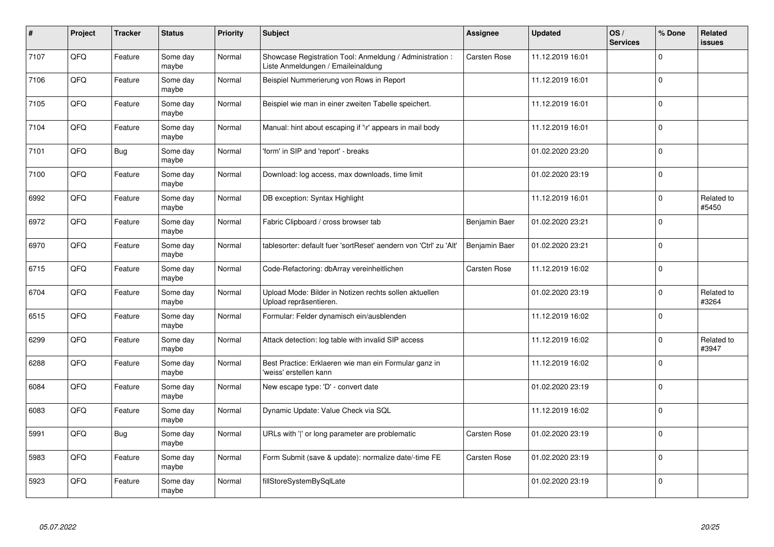| #    | Project | <b>Tracker</b> | <b>Status</b>     | <b>Priority</b> | <b>Subject</b>                                                                                 | Assignee            | <b>Updated</b>   | OS/<br><b>Services</b> | % Done      | Related<br><b>issues</b> |
|------|---------|----------------|-------------------|-----------------|------------------------------------------------------------------------------------------------|---------------------|------------------|------------------------|-------------|--------------------------|
| 7107 | QFQ     | Feature        | Some day<br>maybe | Normal          | Showcase Registration Tool: Anmeldung / Administration :<br>Liste Anmeldungen / Emaileinaldung | Carsten Rose        | 11.12.2019 16:01 |                        | $\Omega$    |                          |
| 7106 | QFQ     | Feature        | Some day<br>maybe | Normal          | Beispiel Nummerierung von Rows in Report                                                       |                     | 11.12.2019 16:01 |                        | $\mathbf 0$ |                          |
| 7105 | QFQ     | Feature        | Some day<br>maybe | Normal          | Beispiel wie man in einer zweiten Tabelle speichert.                                           |                     | 11.12.2019 16:01 |                        | $\pmb{0}$   |                          |
| 7104 | QFQ     | Feature        | Some day<br>maybe | Normal          | Manual: hint about escaping if '\r' appears in mail body                                       |                     | 11.12.2019 16:01 |                        | $\Omega$    |                          |
| 7101 | QFQ     | Bug            | Some day<br>maybe | Normal          | form' in SIP and 'report' - breaks                                                             |                     | 01.02.2020 23:20 |                        | $\mathbf 0$ |                          |
| 7100 | QFQ     | Feature        | Some day<br>maybe | Normal          | Download: log access, max downloads, time limit                                                |                     | 01.02.2020 23:19 |                        | $\mathbf 0$ |                          |
| 6992 | QFQ     | Feature        | Some day<br>maybe | Normal          | DB exception: Syntax Highlight                                                                 |                     | 11.12.2019 16:01 |                        | $\pmb{0}$   | Related to<br>#5450      |
| 6972 | QFQ     | Feature        | Some day<br>maybe | Normal          | Fabric Clipboard / cross browser tab                                                           | Benjamin Baer       | 01.02.2020 23:21 |                        | $\Omega$    |                          |
| 6970 | QFQ     | Feature        | Some day<br>maybe | Normal          | tablesorter: default fuer 'sortReset' aendern von 'Ctrl' zu 'Alt'                              | Benjamin Baer       | 01.02.2020 23:21 |                        | $\mathbf 0$ |                          |
| 6715 | QFQ     | Feature        | Some day<br>maybe | Normal          | Code-Refactoring: dbArray vereinheitlichen                                                     | <b>Carsten Rose</b> | 11.12.2019 16:02 |                        | $\mathbf 0$ |                          |
| 6704 | QFQ     | Feature        | Some day<br>maybe | Normal          | Upload Mode: Bilder in Notizen rechts sollen aktuellen<br>Upload repräsentieren.               |                     | 01.02.2020 23:19 |                        | $\mathbf 0$ | Related to<br>#3264      |
| 6515 | QFQ     | Feature        | Some day<br>maybe | Normal          | Formular: Felder dynamisch ein/ausblenden                                                      |                     | 11.12.2019 16:02 |                        | $\mathbf 0$ |                          |
| 6299 | QFQ     | Feature        | Some day<br>maybe | Normal          | Attack detection: log table with invalid SIP access                                            |                     | 11.12.2019 16:02 |                        | $\mathbf 0$ | Related to<br>#3947      |
| 6288 | QFQ     | Feature        | Some day<br>maybe | Normal          | Best Practice: Erklaeren wie man ein Formular ganz in<br>'weiss' erstellen kann                |                     | 11.12.2019 16:02 |                        | $\pmb{0}$   |                          |
| 6084 | QFQ     | Feature        | Some day<br>maybe | Normal          | New escape type: 'D' - convert date                                                            |                     | 01.02.2020 23:19 |                        | $\mathbf 0$ |                          |
| 6083 | QFQ     | Feature        | Some day<br>maybe | Normal          | Dynamic Update: Value Check via SQL                                                            |                     | 11.12.2019 16:02 |                        | $\mathbf 0$ |                          |
| 5991 | QFQ     | <b>Bug</b>     | Some day<br>maybe | Normal          | URLs with ' ' or long parameter are problematic                                                | <b>Carsten Rose</b> | 01.02.2020 23:19 |                        | $\mathbf 0$ |                          |
| 5983 | QFQ     | Feature        | Some day<br>maybe | Normal          | Form Submit (save & update): normalize date/-time FE                                           | Carsten Rose        | 01.02.2020 23:19 |                        | $\pmb{0}$   |                          |
| 5923 | QFQ     | Feature        | Some day<br>maybe | Normal          | fillStoreSystemBySqlLate                                                                       |                     | 01.02.2020 23:19 |                        | $\Omega$    |                          |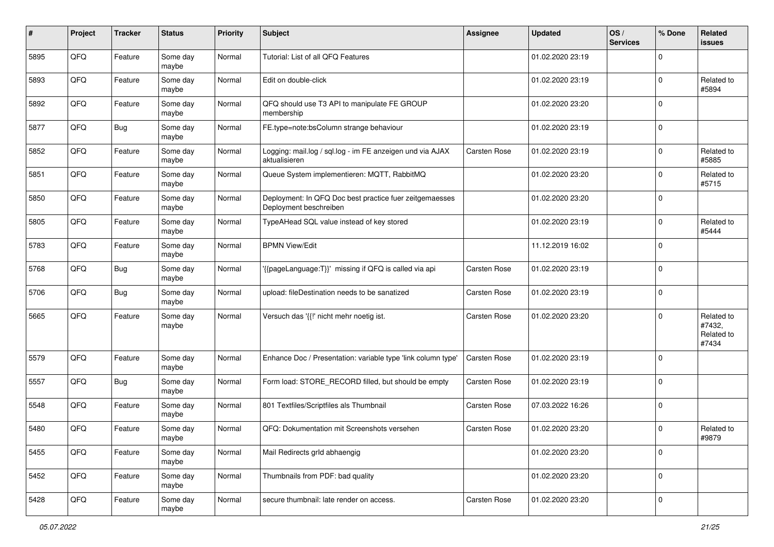| #    | Project | <b>Tracker</b> | <b>Status</b>     | <b>Priority</b> | <b>Subject</b>                                                                    | <b>Assignee</b> | <b>Updated</b>   | OS/<br><b>Services</b> | % Done      | Related<br>issues                           |
|------|---------|----------------|-------------------|-----------------|-----------------------------------------------------------------------------------|-----------------|------------------|------------------------|-------------|---------------------------------------------|
| 5895 | QFQ     | Feature        | Some day<br>maybe | Normal          | Tutorial: List of all QFQ Features                                                |                 | 01.02.2020 23:19 |                        | $\Omega$    |                                             |
| 5893 | QFQ     | Feature        | Some day<br>maybe | Normal          | Edit on double-click                                                              |                 | 01.02.2020 23:19 |                        | $\mathbf 0$ | Related to<br>#5894                         |
| 5892 | QFQ     | Feature        | Some day<br>maybe | Normal          | QFQ should use T3 API to manipulate FE GROUP<br>membership                        |                 | 01.02.2020 23:20 |                        | $\Omega$    |                                             |
| 5877 | QFQ     | <b>Bug</b>     | Some day<br>maybe | Normal          | FE.type=note:bsColumn strange behaviour                                           |                 | 01.02.2020 23:19 |                        | $\mathbf 0$ |                                             |
| 5852 | QFQ     | Feature        | Some day<br>maybe | Normal          | Logging: mail.log / sql.log - im FE anzeigen und via AJAX<br>aktualisieren        | Carsten Rose    | 01.02.2020 23:19 |                        | $\Omega$    | Related to<br>#5885                         |
| 5851 | QFQ     | Feature        | Some day<br>maybe | Normal          | Queue System implementieren: MQTT, RabbitMQ                                       |                 | 01.02.2020 23:20 |                        | $\mathbf 0$ | Related to<br>#5715                         |
| 5850 | QFQ     | Feature        | Some day<br>maybe | Normal          | Deployment: In QFQ Doc best practice fuer zeitgemaesses<br>Deployment beschreiben |                 | 01.02.2020 23:20 |                        | $\mathbf 0$ |                                             |
| 5805 | QFQ     | Feature        | Some day<br>maybe | Normal          | TypeAHead SQL value instead of key stored                                         |                 | 01.02.2020 23:19 |                        | $\Omega$    | Related to<br>#5444                         |
| 5783 | QFQ     | Feature        | Some day<br>maybe | Normal          | <b>BPMN View/Edit</b>                                                             |                 | 11.12.2019 16:02 |                        | $\mathbf 0$ |                                             |
| 5768 | QFQ     | <b>Bug</b>     | Some day<br>maybe | Normal          | '{{pageLanguage:T}}' missing if QFQ is called via api                             | Carsten Rose    | 01.02.2020 23:19 |                        | $\Omega$    |                                             |
| 5706 | QFQ     | <b>Bug</b>     | Some day<br>maybe | Normal          | upload: fileDestination needs to be sanatized                                     | Carsten Rose    | 01.02.2020 23:19 |                        | $\mathbf 0$ |                                             |
| 5665 | QFQ     | Feature        | Some day<br>maybe | Normal          | Versuch das '{{!' nicht mehr noetig ist.                                          | Carsten Rose    | 01.02.2020 23:20 |                        | $\Omega$    | Related to<br>#7432,<br>Related to<br>#7434 |
| 5579 | QFQ     | Feature        | Some day<br>maybe | Normal          | Enhance Doc / Presentation: variable type 'link column type'                      | Carsten Rose    | 01.02.2020 23:19 |                        | $\Omega$    |                                             |
| 5557 | QFQ     | <b>Bug</b>     | Some day<br>maybe | Normal          | Form load: STORE_RECORD filled, but should be empty                               | Carsten Rose    | 01.02.2020 23:19 |                        | $\Omega$    |                                             |
| 5548 | QFQ     | Feature        | Some day<br>maybe | Normal          | 801 Textfiles/Scriptfiles als Thumbnail                                           | Carsten Rose    | 07.03.2022 16:26 |                        | $\mathbf 0$ |                                             |
| 5480 | QFQ     | Feature        | Some day<br>maybe | Normal          | QFQ: Dokumentation mit Screenshots versehen                                       | Carsten Rose    | 01.02.2020 23:20 |                        | $\Omega$    | Related to<br>#9879                         |
| 5455 | QFQ     | Feature        | Some day<br>maybe | Normal          | Mail Redirects grld abhaengig                                                     |                 | 01.02.2020 23:20 |                        | $\mathbf 0$ |                                             |
| 5452 | QFQ     | Feature        | Some day<br>maybe | Normal          | Thumbnails from PDF: bad quality                                                  |                 | 01.02.2020 23:20 |                        | $\mathbf 0$ |                                             |
| 5428 | QFQ     | Feature        | Some day<br>maybe | Normal          | secure thumbnail: late render on access.                                          | Carsten Rose    | 01.02.2020 23:20 |                        | $\mathbf 0$ |                                             |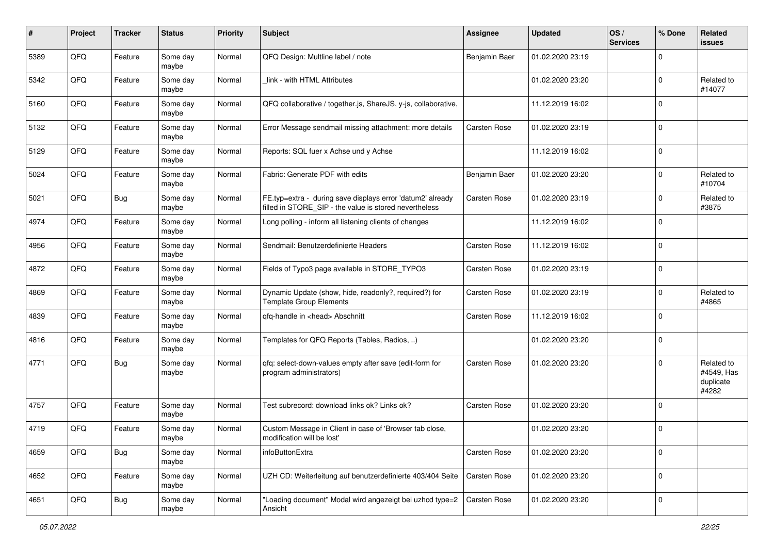| #    | Project | <b>Tracker</b> | <b>Status</b>     | <b>Priority</b> | <b>Subject</b>                                                                                                       | <b>Assignee</b> | <b>Updated</b>   | OS/<br><b>Services</b> | % Done      | Related<br>issues                              |
|------|---------|----------------|-------------------|-----------------|----------------------------------------------------------------------------------------------------------------------|-----------------|------------------|------------------------|-------------|------------------------------------------------|
| 5389 | QFQ     | Feature        | Some day<br>maybe | Normal          | QFQ Design: Multline label / note                                                                                    | Benjamin Baer   | 01.02.2020 23:19 |                        | $\Omega$    |                                                |
| 5342 | QFQ     | Feature        | Some day<br>maybe | Normal          | link - with HTML Attributes                                                                                          |                 | 01.02.2020 23:20 |                        | $\mathbf 0$ | Related to<br>#14077                           |
| 5160 | QFQ     | Feature        | Some day<br>maybe | Normal          | QFQ collaborative / together.js, ShareJS, y-js, collaborative,                                                       |                 | 11.12.2019 16:02 |                        | $\Omega$    |                                                |
| 5132 | QFQ     | Feature        | Some day<br>maybe | Normal          | Error Message sendmail missing attachment: more details                                                              | Carsten Rose    | 01.02.2020 23:19 |                        | $\mathbf 0$ |                                                |
| 5129 | QFQ     | Feature        | Some day<br>maybe | Normal          | Reports: SQL fuer x Achse und y Achse                                                                                |                 | 11.12.2019 16:02 |                        | $\mathbf 0$ |                                                |
| 5024 | QFQ     | Feature        | Some day<br>maybe | Normal          | Fabric: Generate PDF with edits                                                                                      | Benjamin Baer   | 01.02.2020 23:20 |                        | $\Omega$    | Related to<br>#10704                           |
| 5021 | QFQ     | <b>Bug</b>     | Some day<br>maybe | Normal          | FE.typ=extra - during save displays error 'datum2' already<br>filled in STORE SIP - the value is stored nevertheless | Carsten Rose    | 01.02.2020 23:19 |                        | $\mathbf 0$ | Related to<br>#3875                            |
| 4974 | QFQ     | Feature        | Some day<br>maybe | Normal          | Long polling - inform all listening clients of changes                                                               |                 | 11.12.2019 16:02 |                        | $\mathbf 0$ |                                                |
| 4956 | QFQ     | Feature        | Some day<br>maybe | Normal          | Sendmail: Benutzerdefinierte Headers                                                                                 | Carsten Rose    | 11.12.2019 16:02 |                        | $\mathbf 0$ |                                                |
| 4872 | QFQ     | Feature        | Some day<br>maybe | Normal          | Fields of Typo3 page available in STORE_TYPO3                                                                        | Carsten Rose    | 01.02.2020 23:19 |                        | $\mathbf 0$ |                                                |
| 4869 | QFQ     | Feature        | Some day<br>maybe | Normal          | Dynamic Update (show, hide, readonly?, required?) for<br><b>Template Group Elements</b>                              | Carsten Rose    | 01.02.2020 23:19 |                        | $\mathbf 0$ | Related to<br>#4865                            |
| 4839 | QFQ     | Feature        | Some day<br>maybe | Normal          | qfq-handle in <head> Abschnitt</head>                                                                                | Carsten Rose    | 11.12.2019 16:02 |                        | $\Omega$    |                                                |
| 4816 | QFQ     | Feature        | Some day<br>maybe | Normal          | Templates for QFQ Reports (Tables, Radios, )                                                                         |                 | 01.02.2020 23:20 |                        | $\mathbf 0$ |                                                |
| 4771 | QFQ     | Bug            | Some day<br>maybe | Normal          | qfq: select-down-values empty after save (edit-form for<br>program administrators)                                   | Carsten Rose    | 01.02.2020 23:20 |                        | $\mathbf 0$ | Related to<br>#4549, Has<br>duplicate<br>#4282 |
| 4757 | QFQ     | Feature        | Some day<br>maybe | Normal          | Test subrecord: download links ok? Links ok?                                                                         | Carsten Rose    | 01.02.2020 23:20 |                        | $\mathbf 0$ |                                                |
| 4719 | QFQ     | Feature        | Some day<br>maybe | Normal          | Custom Message in Client in case of 'Browser tab close,<br>modification will be lost'                                |                 | 01.02.2020 23:20 |                        | $\mathbf 0$ |                                                |
| 4659 | QFQ     | <b>Bug</b>     | Some day<br>maybe | Normal          | infoButtonExtra                                                                                                      | Carsten Rose    | 01.02.2020 23:20 |                        | 0           |                                                |
| 4652 | QFQ     | Feature        | Some day<br>maybe | Normal          | UZH CD: Weiterleitung auf benutzerdefinierte 403/404 Seite                                                           | Carsten Rose    | 01.02.2020 23:20 |                        | $\mathbf 0$ |                                                |
| 4651 | QFQ     | <b>Bug</b>     | Some day<br>maybe | Normal          | "Loading document" Modal wird angezeigt bei uzhcd type=2<br>Ansicht                                                  | Carsten Rose    | 01.02.2020 23:20 |                        | $\mathbf 0$ |                                                |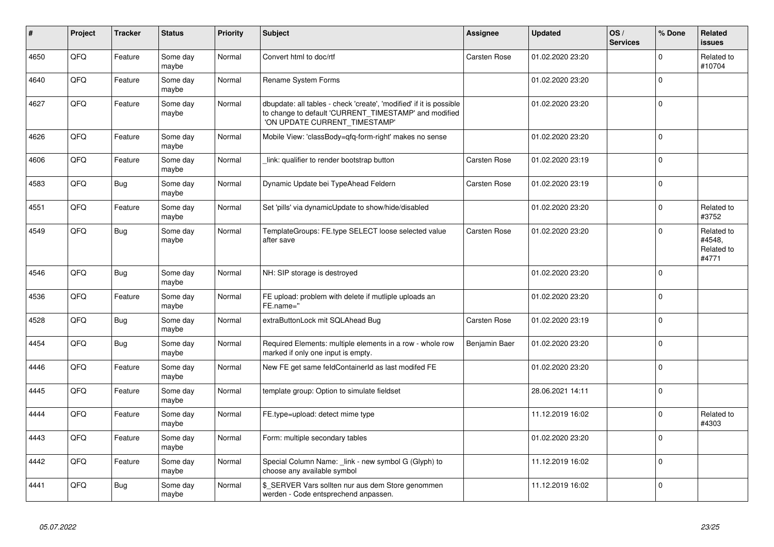| #    | Project | <b>Tracker</b> | <b>Status</b>     | <b>Priority</b> | <b>Subject</b>                                                                                                                                                | <b>Assignee</b>     | <b>Updated</b>   | OS/<br><b>Services</b> | % Done      | Related<br><b>issues</b>                    |
|------|---------|----------------|-------------------|-----------------|---------------------------------------------------------------------------------------------------------------------------------------------------------------|---------------------|------------------|------------------------|-------------|---------------------------------------------|
| 4650 | QFQ     | Feature        | Some day<br>maybe | Normal          | Convert html to doc/rtf                                                                                                                                       | Carsten Rose        | 01.02.2020 23:20 |                        | $\mathbf 0$ | Related to<br>#10704                        |
| 4640 | QFQ     | Feature        | Some day<br>maybe | Normal          | Rename System Forms                                                                                                                                           |                     | 01.02.2020 23:20 |                        | $\mathbf 0$ |                                             |
| 4627 | QFQ     | Feature        | Some day<br>maybe | Normal          | dbupdate: all tables - check 'create', 'modified' if it is possible<br>to change to default 'CURRENT_TIMESTAMP' and modified<br>'ON UPDATE CURRENT_TIMESTAMP' |                     | 01.02.2020 23:20 |                        | $\mathbf 0$ |                                             |
| 4626 | QFQ     | Feature        | Some day<br>maybe | Normal          | Mobile View: 'classBody=qfq-form-right' makes no sense                                                                                                        |                     | 01.02.2020 23:20 |                        | $\mathbf 0$ |                                             |
| 4606 | QFQ     | Feature        | Some day<br>maybe | Normal          | link: qualifier to render bootstrap button                                                                                                                    | <b>Carsten Rose</b> | 01.02.2020 23:19 |                        | $\Omega$    |                                             |
| 4583 | QFQ     | <b>Bug</b>     | Some day<br>maybe | Normal          | Dynamic Update bei TypeAhead Feldern                                                                                                                          | Carsten Rose        | 01.02.2020 23:19 |                        | $\Omega$    |                                             |
| 4551 | QFQ     | Feature        | Some day<br>maybe | Normal          | Set 'pills' via dynamicUpdate to show/hide/disabled                                                                                                           |                     | 01.02.2020 23:20 |                        | $\mathbf 0$ | Related to<br>#3752                         |
| 4549 | QFQ     | <b>Bug</b>     | Some day<br>maybe | Normal          | TemplateGroups: FE.type SELECT loose selected value<br>after save                                                                                             | Carsten Rose        | 01.02.2020 23:20 |                        | $\Omega$    | Related to<br>#4548.<br>Related to<br>#4771 |
| 4546 | QFQ     | <b>Bug</b>     | Some day<br>maybe | Normal          | NH: SIP storage is destroyed                                                                                                                                  |                     | 01.02.2020 23:20 |                        | $\mathbf 0$ |                                             |
| 4536 | QFQ     | Feature        | Some day<br>maybe | Normal          | FE upload: problem with delete if mutliple uploads an<br>FE.name="                                                                                            |                     | 01.02.2020 23:20 |                        | $\mathbf 0$ |                                             |
| 4528 | QFQ     | <b>Bug</b>     | Some day<br>maybe | Normal          | extraButtonLock mit SQLAhead Bug                                                                                                                              | <b>Carsten Rose</b> | 01.02.2020 23:19 |                        | $\mathbf 0$ |                                             |
| 4454 | QFQ     | <b>Bug</b>     | Some day<br>maybe | Normal          | Required Elements: multiple elements in a row - whole row<br>marked if only one input is empty.                                                               | Benjamin Baer       | 01.02.2020 23:20 |                        | $\mathbf 0$ |                                             |
| 4446 | QFQ     | Feature        | Some day<br>maybe | Normal          | New FE get same feldContainerId as last modifed FE                                                                                                            |                     | 01.02.2020 23:20 |                        | $\mathbf 0$ |                                             |
| 4445 | QFQ     | Feature        | Some day<br>maybe | Normal          | template group: Option to simulate fieldset                                                                                                                   |                     | 28.06.2021 14:11 |                        | $\pmb{0}$   |                                             |
| 4444 | QFQ     | Feature        | Some day<br>maybe | Normal          | FE.type=upload: detect mime type                                                                                                                              |                     | 11.12.2019 16:02 |                        | $\mathbf 0$ | Related to<br>#4303                         |
| 4443 | QFQ     | Feature        | Some day<br>maybe | Normal          | Form: multiple secondary tables                                                                                                                               |                     | 01.02.2020 23:20 |                        | $\mathbf 0$ |                                             |
| 4442 | QFQ     | Feature        | Some day<br>maybe | Normal          | Special Column Name: _link - new symbol G (Glyph) to<br>choose any available symbol                                                                           |                     | 11.12.2019 16:02 |                        | $\mathbf 0$ |                                             |
| 4441 | QFQ     | <b>Bug</b>     | Some day<br>maybe | Normal          | \$ SERVER Vars sollten nur aus dem Store genommen<br>werden - Code entsprechend anpassen.                                                                     |                     | 11.12.2019 16:02 |                        | $\mathbf 0$ |                                             |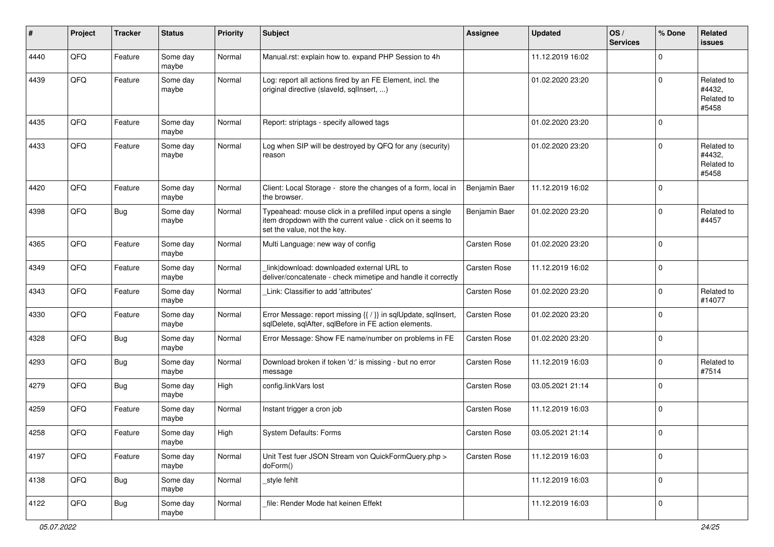| #    | Project | <b>Tracker</b> | <b>Status</b>     | <b>Priority</b> | <b>Subject</b>                                                                                                                                           | <b>Assignee</b> | <b>Updated</b>   | OS/<br><b>Services</b> | % Done      | Related<br><b>issues</b>                    |
|------|---------|----------------|-------------------|-----------------|----------------------------------------------------------------------------------------------------------------------------------------------------------|-----------------|------------------|------------------------|-------------|---------------------------------------------|
| 4440 | QFQ     | Feature        | Some day<br>maybe | Normal          | Manual.rst: explain how to. expand PHP Session to 4h                                                                                                     |                 | 11.12.2019 16:02 |                        | $\mathbf 0$ |                                             |
| 4439 | QFQ     | Feature        | Some day<br>maybe | Normal          | Log: report all actions fired by an FE Element, incl. the<br>original directive (slaveld, sqllnsert, )                                                   |                 | 01.02.2020 23:20 |                        | $\mathbf 0$ | Related to<br>#4432.<br>Related to<br>#5458 |
| 4435 | QFQ     | Feature        | Some day<br>maybe | Normal          | Report: striptags - specify allowed tags                                                                                                                 |                 | 01.02.2020 23:20 |                        | $\mathbf 0$ |                                             |
| 4433 | QFQ     | Feature        | Some day<br>maybe | Normal          | Log when SIP will be destroyed by QFQ for any (security)<br>reason                                                                                       |                 | 01.02.2020 23:20 |                        | $\mathbf 0$ | Related to<br>#4432,<br>Related to<br>#5458 |
| 4420 | QFQ     | Feature        | Some day<br>maybe | Normal          | Client: Local Storage - store the changes of a form, local in<br>the browser.                                                                            | Benjamin Baer   | 11.12.2019 16:02 |                        | $\mathbf 0$ |                                             |
| 4398 | QFQ     | <b>Bug</b>     | Some day<br>maybe | Normal          | Typeahead: mouse click in a prefilled input opens a single<br>item dropdown with the current value - click on it seems to<br>set the value, not the key. | Benjamin Baer   | 01.02.2020 23:20 |                        | $\mathbf 0$ | Related to<br>#4457                         |
| 4365 | QFQ     | Feature        | Some day<br>maybe | Normal          | Multi Language: new way of config                                                                                                                        | Carsten Rose    | 01.02.2020 23:20 |                        | $\pmb{0}$   |                                             |
| 4349 | QFQ     | Feature        | Some day<br>maybe | Normal          | link download: downloaded external URL to<br>deliver/concatenate - check mimetipe and handle it correctly                                                | Carsten Rose    | 11.12.2019 16:02 |                        | $\mathbf 0$ |                                             |
| 4343 | QFQ     | Feature        | Some day<br>maybe | Normal          | Link: Classifier to add 'attributes'                                                                                                                     | Carsten Rose    | 01.02.2020 23:20 |                        | 0           | Related to<br>#14077                        |
| 4330 | QFQ     | Feature        | Some day<br>maybe | Normal          | Error Message: report missing {{ / }} in sqlUpdate, sqlInsert,<br>sqlDelete, sqlAfter, sqlBefore in FE action elements.                                  | Carsten Rose    | 01.02.2020 23:20 |                        | $\mathbf 0$ |                                             |
| 4328 | QFQ     | <b>Bug</b>     | Some day<br>maybe | Normal          | Error Message: Show FE name/number on problems in FE                                                                                                     | Carsten Rose    | 01.02.2020 23:20 |                        | $\mathbf 0$ |                                             |
| 4293 | QFQ     | <b>Bug</b>     | Some day<br>maybe | Normal          | Download broken if token 'd:' is missing - but no error<br>message                                                                                       | Carsten Rose    | 11.12.2019 16:03 |                        | $\mathbf 0$ | Related to<br>#7514                         |
| 4279 | QFQ     | <b>Bug</b>     | Some day<br>maybe | High            | config.linkVars lost                                                                                                                                     | Carsten Rose    | 03.05.2021 21:14 |                        | $\pmb{0}$   |                                             |
| 4259 | QFQ     | Feature        | Some day<br>maybe | Normal          | Instant trigger a cron job                                                                                                                               | Carsten Rose    | 11.12.2019 16:03 |                        | 0           |                                             |
| 4258 | QFQ     | Feature        | Some day<br>maybe | High            | <b>System Defaults: Forms</b>                                                                                                                            | Carsten Rose    | 03.05.2021 21:14 |                        | $\mathbf 0$ |                                             |
| 4197 | QFO     | Feature        | Some day<br>maybe | Normal          | Unit Test fuer JSON Stream von QuickFormQuery.php ><br>doForm()                                                                                          | Carsten Rose    | 11.12.2019 16:03 |                        | $\mathbf 0$ |                                             |
| 4138 | QFG     | <b>Bug</b>     | Some day<br>maybe | Normal          | _style fehlt                                                                                                                                             |                 | 11.12.2019 16:03 |                        | $\mathsf 0$ |                                             |
| 4122 | QFO     | <b>Bug</b>     | Some day<br>maybe | Normal          | file: Render Mode hat keinen Effekt                                                                                                                      |                 | 11.12.2019 16:03 |                        | 0           |                                             |